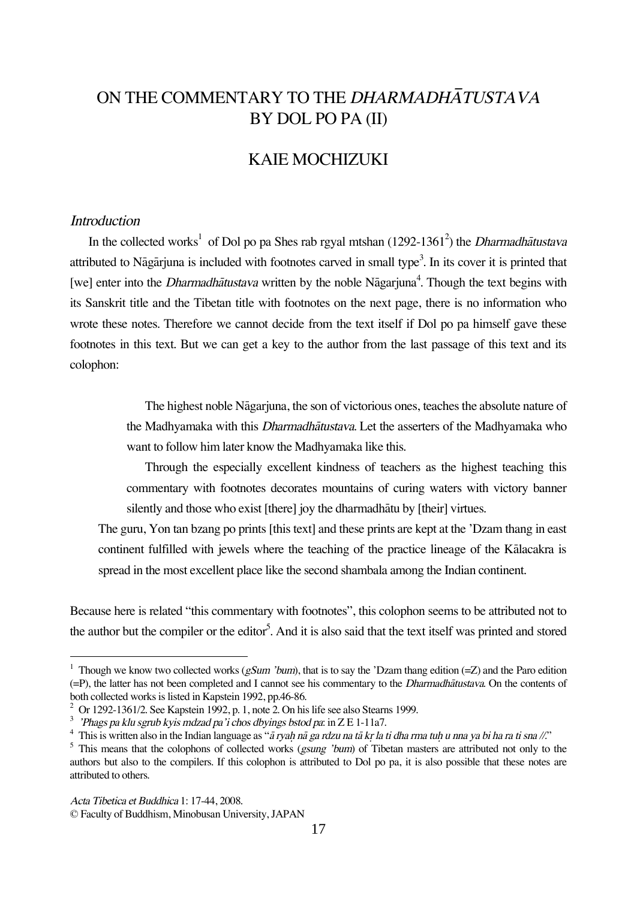# ON THE COMMENTARY TO THE DHARMADHÅTUSTAVA BY DOL PO PA (II)

# KAIE MOCHIZUKI

### **Introduction**

In the collected works<sup>1</sup> of Dol po pa Shes rab rgyal mtshan (1292-1361<sup>2</sup>) the *Dharmadhātustava* attributed to Nāgārjuna is included with footnotes carved in small type<sup>3</sup>. In its cover it is printed that [we] enter into the *Dharmadhātustava* written by the noble Nāgarjuna<sup>4</sup>. Though the text begins with its Sanskrit title and the Tibetan title with footnotes on the next page, there is no information who wrote these notes. Therefore we cannot decide from the text itself if Dol po pa himself gave these footnotes in this text. But we can get a key to the author from the last passage of this text and its colophon:

> The highest noble Någarjuna, the son of victorious ones, teaches the absolute nature of the Madhyamaka with this Dharmadhåtustava. Let the asserters of the Madhyamaka who want to follow him later know the Madhyamaka like this.

> Through the especially excellent kindness of teachers as the highest teaching this commentary with footnotes decorates mountains of curing waters with victory banner silently and those who exist [there] joy the dharmadhåtu by [their] virtues.

The guru, Yon tan bzang po prints [this text] and these prints are kept at the 'Dzam thang in east continent fulfilled with jewels where the teaching of the practice lineage of the Kålacakra is spread in the most excellent place like the second shambala among the Indian continent.

Because here is related "this commentary with footnotes", this colophon seems to be attributed not to the author but the compiler or the editor<sup>5</sup>. And it is also said that the text itself was printed and stored

<sup>&</sup>lt;sup>1</sup> Though we know two collected works (gSum 'bum), that is to say the 'Dzam thang edition (=Z) and the Paro edition (=P), the latter has not been completed and I cannot see his commentary to the Dharmadhåtustava. On the contents of both collected works is listed in Kapstein 1992, pp.46-86.

 $2$  Or 1292-1361/2. See Kapstein 1992, p. 1, note 2. On his life see also Stearns 1999.

<sup>&</sup>lt;sup>3</sup> 'Phags pa klu sgrub kyis mdzad pa'i chos dbyings bstod pa: in Z E 1-11a7.

<sup>&</sup>lt;sup>4</sup> This is written also in the Indian language as " $\tilde{a}$  ryah n $\tilde{a}$  ga rdzu na ta kr la ti dha rma tuh u nna ya bi ha ra ti sna //."

<sup>&</sup>lt;sup>5</sup> This means that the colophons of collected works (*gsung 'bum*) of Tibetan masters are attributed not only to the authors but also to the compilers. If this colophon is attributed to Dol po pa, it is also possible that these notes are attributed to others.

Acta Tibetica et Buddhica 1: 17-44, 2008.

<sup>©</sup> Faculty of Buddhism, Minobusan University, JAPAN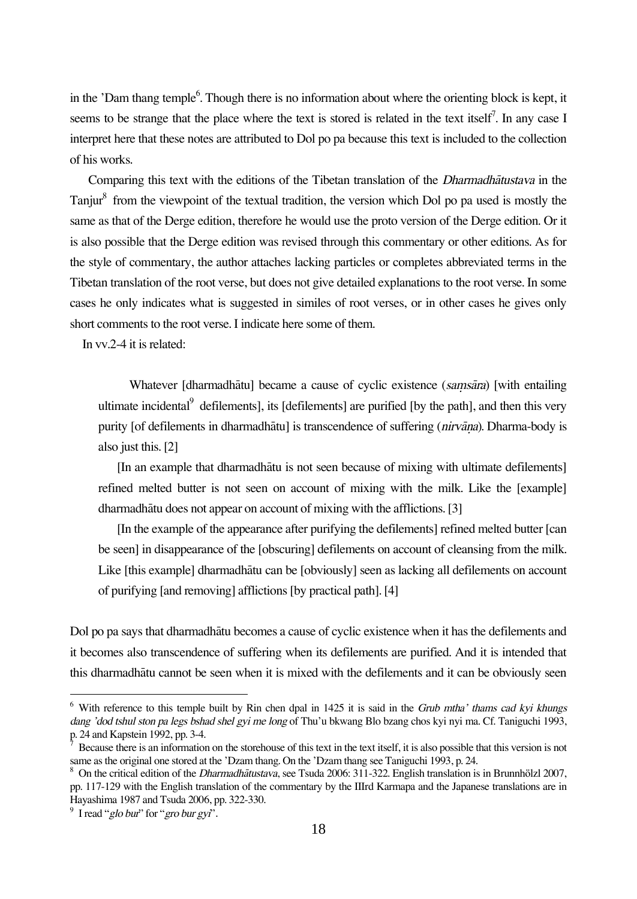in the 'Dam thang temple<sup>6</sup>. Though there is no information about where the orienting block is kept, it seems to be strange that the place where the text is stored is related in the text itself<sup>7</sup>. In any case I interpret here that these notes are attributed to Dol po pa because this text is included to the collection of his works.

Comparing this text with the editions of the Tibetan translation of the Dharmadhåtustava in the Tanjur<sup>8</sup> from the viewpoint of the textual tradition, the version which Dol po pa used is mostly the same as that of the Derge edition, therefore he would use the proto version of the Derge edition. Or it is also possible that the Derge edition was revised through this commentary or other editions. As for the style of commentary, the author attaches lacking particles or completes abbreviated terms in the Tibetan translation of the root verse, but does not give detailed explanations to the root verse. In some cases he only indicates what is suggested in similes of root verses, or in other cases he gives only short comments to the root verse. I indicate here some of them.

In vv.2-4 it is related:

Whatever [dharmadhātu] became a cause of cyclic existence (samsāra) [with entailing ultimate incidental defilements], its [defilements] are purified [by the path], and then this very purity [of defilements in dharmadhātu] is transcendence of suffering (nirvāņa). Dharma-body is also just this. [2]

[In an example that dharmadhåtu is not seen because of mixing with ultimate defilements] refined melted butter is not seen on account of mixing with the milk. Like the [example] dharmadhåtu does not appear on account of mixing with the afflictions. [3]

[In the example of the appearance after purifying the defilements] refined melted butter [can be seen] in disappearance of the [obscuring] defilements on account of cleansing from the milk. Like [this example] dharmadhåtu can be [obviously] seen as lacking all defilements on account of purifying [and removing] afflictions [by practical path]. [4]

Dol po pa says that dharmadhåtu becomes a cause of cyclic existence when it has the defilements and it becomes also transcendence of suffering when its defilements are purified. And it is intended that this dharmadhåtu cannot be seen when it is mixed with the defilements and it can be obviously seen

 $6$  With reference to this temple built by Rin chen dpal in 1425 it is said in the *Grub mtha' thams cad kyi khungs* dang 'dod tshul ston pa legs bshad shel gyi me long of Thu'u bkwang Blo bzang chos kyi nyi ma. Cf. Taniguchi 1993, p. 24 and Kapstein 1992, pp. 3-4.

<sup>7</sup> Because there is an information on the storehouse of this text in the text itself, it is also possible that this version is not same as the original one stored at the 'Dzam thang. On the 'Dzam thang see Taniguchi 1993, p. 24.

<sup>&</sup>lt;sup>8</sup> On the critical edition of the *Dharmadhātustava*, see Tsuda 2006: 311-322. English translation is in Brunnhölzl 2007, pp. 117-129 with the English translation of the commentary by the IIIrd Karmapa and the Japanese translations are in Hayashima 1987 and Tsuda 2006, pp. 322-330.

 $9^9$  I read "glo bur" for "gro bur gyi".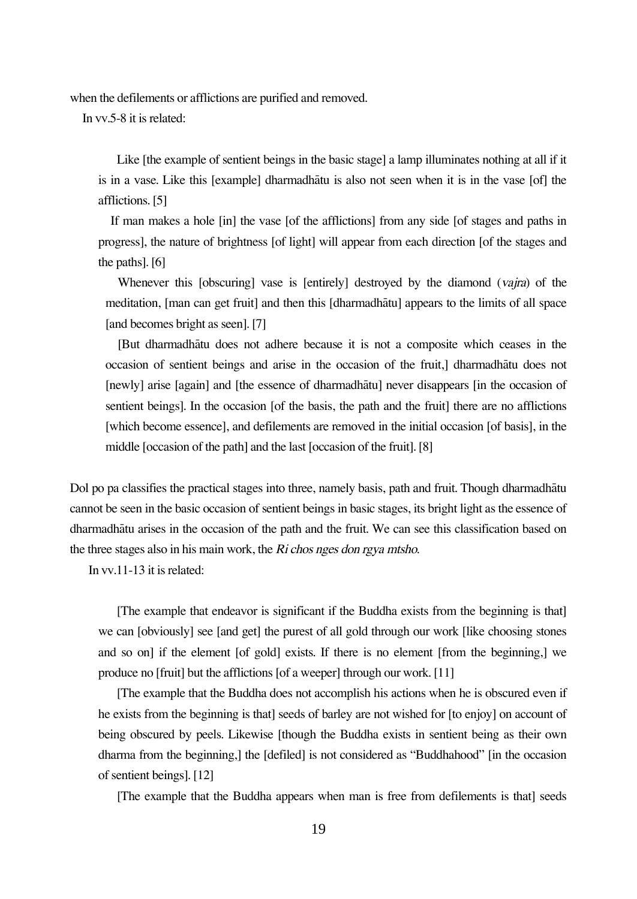when the defilements or afflictions are purified and removed.

In vv.5-8 it is related:

Like [the example of sentient beings in the basic stage] a lamp illuminates nothing at all if it is in a vase. Like this [example] dharmadhåtu is also not seen when it is in the vase [of] the afflictions. [5]

If man makes a hole [in] the vase [of the afflictions] from any side [of stages and paths in progress], the nature of brightness [of light] will appear from each direction [of the stages and the paths]. [6]

Whenever this [obscuring] vase is [entirely] destroyed by the diamond (vajra) of the meditation, [man can get fruit] and then this [dharmadhåtu] appears to the limits of all space [and becomes bright as seen]. [7]

[But dharmadhåtu does not adhere because it is not a composite which ceases in the occasion of sentient beings and arise in the occasion of the fruit,] dharmadhåtu does not [newly] arise [again] and [the essence of dharmadhåtu] never disappears [in the occasion of sentient beings]. In the occasion [of the basis, the path and the fruit] there are no afflictions [which become essence], and defilements are removed in the initial occasion [of basis], in the middle [occasion of the path] and the last [occasion of the fruit]. [8]

Dol po pa classifies the practical stages into three, namely basis, path and fruit. Though dharmadhåtu cannot be seen in the basic occasion of sentient beings in basic stages, its bright light as the essence of dharmadhåtu arises in the occasion of the path and the fruit. We can see this classification based on the three stages also in his main work, the Ri chos nges don rgya mtsho.

In vv.11-13 it is related:

[The example that endeavor is significant if the Buddha exists from the beginning is that] we can [obviously] see [and get] the purest of all gold through our work [like choosing stones and so on] if the element [of gold] exists. If there is no element [from the beginning,] we produce no [fruit] but the afflictions [of a weeper] through our work. [11]

[The example that the Buddha does not accomplish his actions when he is obscured even if he exists from the beginning is that] seeds of barley are not wished for [to enjoy] on account of being obscured by peels. Likewise [though the Buddha exists in sentient being as their own dharma from the beginning,] the [defiled] is not considered as "Buddhahood" [in the occasion of sentient beings]. [12]

[The example that the Buddha appears when man is free from defilements is that] seeds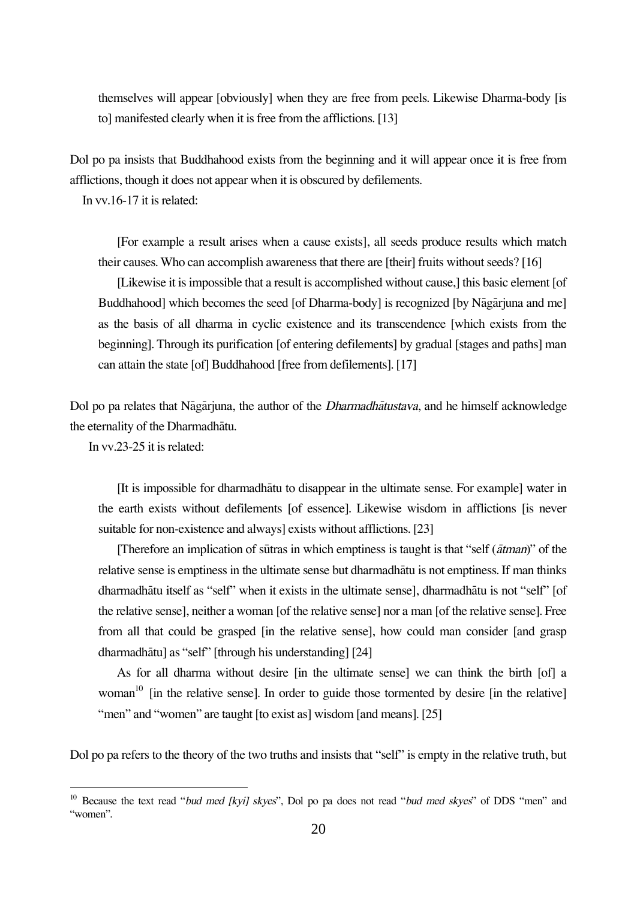themselves will appear [obviously] when they are free from peels. Likewise Dharma-body [is to] manifested clearly when it is free from the afflictions. [13]

Dol po pa insists that Buddhahood exists from the beginning and it will appear once it is free from afflictions, though it does not appear when it is obscured by defilements.

In vv.16-17 it is related:

[For example a result arises when a cause exists], all seeds produce results which match their causes. Who can accomplish awareness that there are [their] fruits without seeds? [16]

[Likewise it is impossible that a result is accomplished without cause,] this basic element [of Buddhahood] which becomes the seed [of Dharma-body] is recognized [by Någårjuna and me] as the basis of all dharma in cyclic existence and its transcendence [which exists from the beginning]. Through its purification [of entering defilements] by gradual [stages and paths] man can attain the state [of] Buddhahood [free from defilements]. [17]

Dol po pa relates that Någårjuna, the author of the Dharmadhåtustava, and he himself acknowledge the eternality of the Dharmadhåtu.

In vv.23-25 it is related:

[It is impossible for dharmadhåtu to disappear in the ultimate sense. For example] water in the earth exists without defilements [of essence]. Likewise wisdom in afflictions [is never suitable for non-existence and always] exists without afflictions. [23]

[Therefore an implication of sütras in which emptiness is taught is that "self (åtman)" of the relative sense is emptiness in the ultimate sense but dharmadhåtu is not emptiness. If man thinks dharmadhåtu itself as "self" when it exists in the ultimate sense], dharmadhåtu is not "self" [of the relative sense], neither a woman [of the relative sense] nor a man [of the relative sense]. Free from all that could be grasped [in the relative sense], how could man consider [and grasp dharmadhåtu] as "self" [through his understanding] [24]

As for all dharma without desire [in the ultimate sense] we can think the birth [of] a woman<sup>10</sup> [in the relative sense]. In order to guide those tormented by desire [in the relative] "men" and "women" are taught [to exist as] wisdom [and means]. [25]

Dol po pa refers to the theory of the two truths and insists that "self" is empty in the relative truth, but

<sup>&</sup>lt;sup>10</sup> Because the text read "bud med [kyi] skyes", Dol po pa does not read "bud med skyes" of DDS "men" and "women".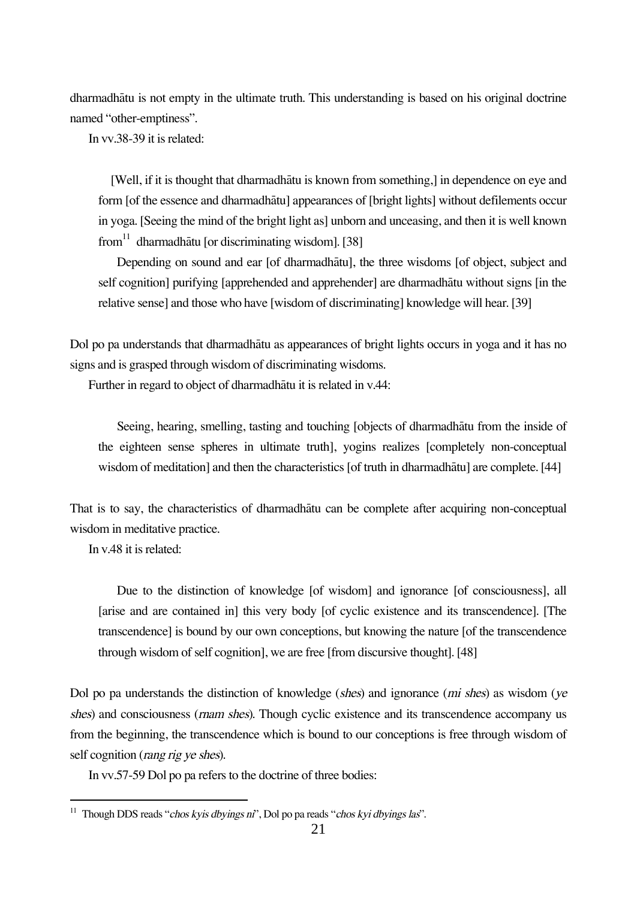dharmadhåtu is not empty in the ultimate truth. This understanding is based on his original doctrine named "other-emptiness".

In vv.38-39 it is related:

[Well, if it is thought that dharmadhåtu is known from something,] in dependence on eye and form [of the essence and dharmadhåtu] appearances of [bright lights] without defilements occur in yoga. [Seeing the mind of the bright light as] unborn and unceasing, and then it is well known from<sup>11</sup> dharmadhātu [or discriminating wisdom]. [38]

Depending on sound and ear [of dharmadhåtu], the three wisdoms [of object, subject and self cognition] purifying [apprehended and apprehender] are dharmadhåtu without signs [in the relative sense] and those who have [wisdom of discriminating] knowledge will hear. [39]

Dol po pa understands that dharmadhåtu as appearances of bright lights occurs in yoga and it has no signs and is grasped through wisdom of discriminating wisdoms.

Further in regard to object of dharmadhåtu it is related in v.44:

Seeing, hearing, smelling, tasting and touching [objects of dharmadhåtu from the inside of the eighteen sense spheres in ultimate truth], yogins realizes [completely non-conceptual wisdom of meditation] and then the characteristics [of truth in dharmadhåtu] are complete. [44]

That is to say, the characteristics of dharmadhåtu can be complete after acquiring non-conceptual wisdom in meditative practice.

In v.48 it is related:

Due to the distinction of knowledge [of wisdom] and ignorance [of consciousness], all [arise and are contained in] this very body [of cyclic existence and its transcendence]. [The transcendence] is bound by our own conceptions, but knowing the nature [of the transcendence through wisdom of self cognition], we are free [from discursive thought]. [48]

Dol po pa understands the distinction of knowledge (shes) and ignorance (mi shes) as wisdom (ye shes) and consciousness (*rnam shes*). Though cyclic existence and its transcendence accompany us from the beginning, the transcendence which is bound to our conceptions is free through wisdom of self cognition (*rang rig ye shes*).

In vv.57-59 Dol po pa refers to the doctrine of three bodies:

<sup>&</sup>lt;sup>11</sup> Though DDS reads "chos kyis dbyings ni", Dol po pa reads "chos kyi dbyings las".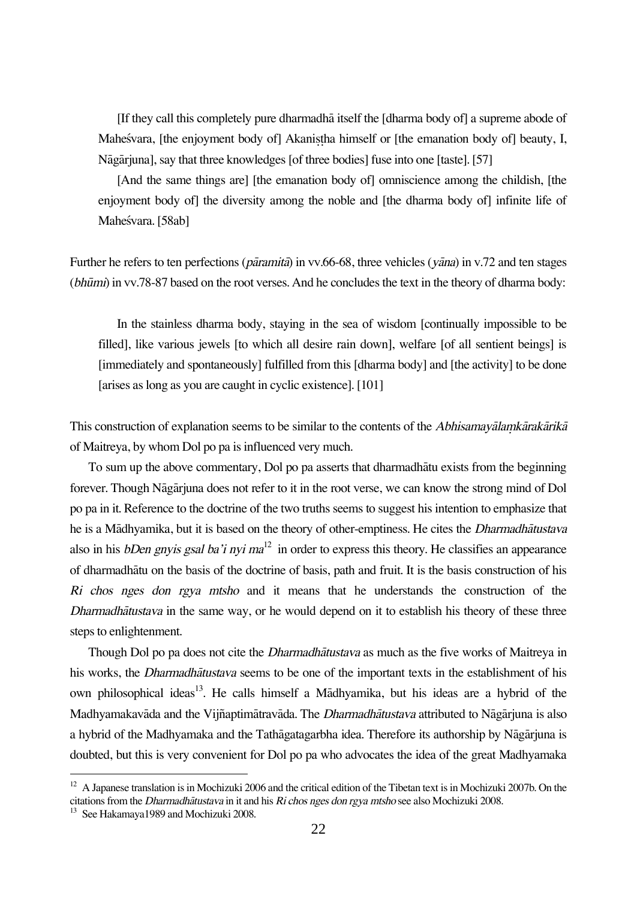[If they call this completely pure dharmadhå itself the [dharma body of] a supreme abode of Maheśvara, [the enjoyment body of] Akanistha himself or [the emanation body of] beauty, I, Någårjuna], say that three knowledges [of three bodies] fuse into one [taste]. [57]

[And the same things are] [the emanation body of] omniscience among the childish, [the enjoyment body of] the diversity among the noble and [the dharma body of] infinite life of Maheśvara. [58ab]

Further he refers to ten perfections (*pāramitā*) in vv.66-68, three vehicles (*yāna*) in v.72 and ten stages (bhümi) in vv.78-87 based on the root verses. And he concludes the text in the theory of dharma body:

In the stainless dharma body, staying in the sea of wisdom [continually impossible to be filled], like various jewels [to which all desire rain down], welfare [of all sentient beings] is [immediately and spontaneously] fulfilled from this [dharma body] and [the activity] to be done [arises as long as you are caught in cyclic existence]. [101]

This construction of explanation seems to be similar to the contents of the *Abhisamayālamkārakārikā* of Maitreya, by whom Dol po pa is influenced very much.

To sum up the above commentary, Dol po pa asserts that dharmadhåtu exists from the beginning forever. Though Någårjuna does not refer to it in the root verse, we can know the strong mind of Dol po pa in it. Reference to the doctrine of the two truths seems to suggest his intention to emphasize that he is a Mådhyamika, but it is based on the theory of other-emptiness. He cites the Dharmadhåtustava also in his *bDen gnyis gsal ba'i nyi ma*<sup>12</sup> in order to express this theory. He classifies an appearance of dharmadhåtu on the basis of the doctrine of basis, path and fruit. It is the basis construction of his Ri chos nges don rgya mtsho and it means that he understands the construction of the Dharmadhåtustava in the same way, or he would depend on it to establish his theory of these three steps to enlightenment.

Though Dol po pa does not cite the *Dharmadhatustava* as much as the five works of Maitreya in his works, the *Dharmadhātustava* seems to be one of the important texts in the establishment of his own philosophical ideas<sup>13</sup>. He calls himself a Mādhyamika, but his ideas are a hybrid of the Madhyamakavāda and the Vijñaptimātravāda. The *Dharmadhātustava* attributed to Nāgārjuna is also a hybrid of the Madhyamaka and the Tathågatagarbha idea. Therefore its authorship by Någårjuna is doubted, but this is very convenient for Dol po pa who advocates the idea of the great Madhyamaka

 $12$  A Japanese translation is in Mochizuki 2006 and the critical edition of the Tibetan text is in Mochizuki 2007b. On the citations from the Dharmadhåtustava in it and his Ri chos nges don rgya mtsho see also Mochizuki 2008.

<sup>&</sup>lt;sup>13</sup> See Hakamaya 1989 and Mochizuki 2008.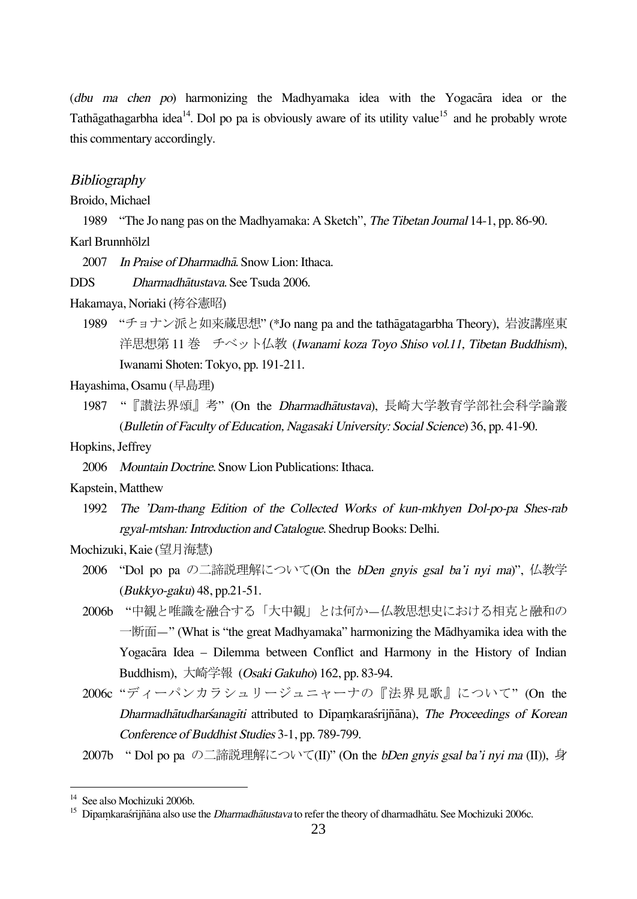(dbu ma chen po) harmonizing the Madhyamaka idea with the Yogacåra idea or the Tathāgathagarbha idea<sup>14</sup>. Dol po pa is obviously aware of its utility value<sup>15</sup> and he probably wrote this commentary accordingly.

#### **Bibliography**

Broido, Michael

1989 "The Jo nang pas on the Madhyamaka: A Sketch", The Tibetan Journal 14-1, pp. 86-90. Karl Brunnhölzl

2007 In Praise of Dharmadhå. Snow Lion: Ithaca.

DDS Dharmadhåtustava. See Tsuda 2006.

Hakamaya, Noriaki (袴谷憲昭)

1989 "チョナン派と如来蔵思想" (\*Jo nang pa and the tathågatagarbha Theory), 岩波講座東 洋思想第11巻 チベット仏教 (Iwanami koza Toyo Shiso vol.11, Tibetan Buddhism), Iwanami Shoten: Tokyo, pp. 191-211.

Hayashima, Osamu (早島理)

1987 "『讃法界頌』考" (On the Dharmadhåtustava), 長崎大学教育学部社会科学論叢 (Bulletin of Faculty of Education, Nagasaki University: Social Science) 36, pp. 41-90.

Hopkins, Jeffrey

2006 Mountain Doctrine. Snow Lion Publications: Ithaca.

Kapstein, Matthew

1992 The 'Dam-thang Edition of the Collected Works of kun-mkhyen Dol-po-pa Shes-rab rgyal-mtshan: Introduction and Catalogue. Shedrup Books: Delhi.

### Mochizuki, Kaie (望月海慧)

- 2006 "Dol po pa の二諦説理解について(On the bDen gnyis gsal ba'i nyi ma)", 仏教学 (Bukkyo-gaku) 48, pp.21-51.
- 2006b "中観と唯識を融合する「大中観」とは何か—仏教思想史における相克と融和の 一断面—" (What is "the great Madhyamaka" harmonizing the Mådhyamika idea with the Yogacåra Idea – Dilemma between Conflict and Harmony in the History of Indian Buddhism), 大崎学報 (Osaki Gakuho) 162, pp. 83-94.
- 2006c "ディーパンカラシュリージュニャーナの『法界見歌』について" (On the Dharmadhātudharśanagīti attributed to Dīpamkaraśrījñāna), The Proceedings of Korean Conference of Buddhist Studies 3-1, pp. 789-799.

2007b " Dol po pa の二諦説理解について(II)" (On the bDen gnyis gsal ba'i nyi ma (II)), 身

<sup>&</sup>lt;sup>14</sup> See also Mochizuki 2006b.

<sup>&</sup>lt;sup>15</sup> Dipamkaraśrijñāna also use the *Dharmadhātustava* to refer the theory of dharmadhātu. See Mochizuki 2006c.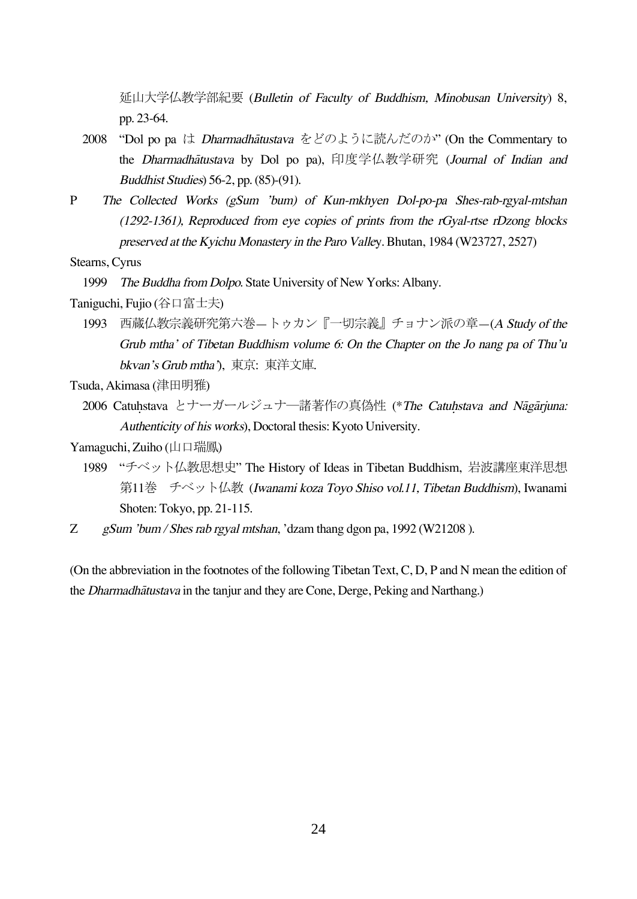延山大学仏教学部紀要 (Bulletin of Faculty of Buddhism, Minobusan University) 8, pp. 23-64.

- 2008 "Dol po pa は Dharmadhåtustava をどのように読んだのか" (On the Commentary to the Dharmadhåtustava by Dol po pa), 印度学仏教学研究 (Journal of Indian and Buddhist Studies) 56-2, pp. (85)-(91).
- P The Collected Works (gSum 'bum) of Kun-mkhyen Dol-po-pa Shes-rab-rgyal-mtshan (1292-1361), Reproduced from eye copies of prints from the rGyal-rtse rDzong blocks preserved at the Kyichu Monastery in the Paro Valley. Bhutan, 1984 (W23727, 2527)

Stearns, Cyrus

1999 The Buddha from Dolpo. State University of New Yorks: Albany.

Taniguchi, Fujio (谷口富士夫)

1993 西蔵仏教宗義研究第六巻—トゥカン『一切宗義』チョナン派の章—(<sup>A</sup> Study of the Grub mtha' of Tibetan Buddhism volume 6: On the Chapter on the Jo nang pa of Thu'u bkvan's Grub mtha'), 東京: 東洋文庫.

Tsuda, Akimasa (津田明雅)

- 2006 Catuhstava とナーガールジュナ―諸著作の真偽性 (\*The Catuhstava and Nāgārjuna: Authenticity of his works), Doctoral thesis: Kyoto University.
- Yamaguchi, Zuiho (山口瑞鳳)
	- 1989 "チベット仏教思想史" The History of Ideas in Tibetan Buddhism, 岩波講座東洋思想 第11巻 チベット仏教 (Iwanami koza Toyo Shiso vol.11, Tibetan Buddhism), Iwanami Shoten: Tokyo, pp. 21-115.
- Z gSum 'bum / Shes rab rgyal mtshan, 'dzam thang dgon pa, 1992 (W21208).

(On the abbreviation in the footnotes of the following Tibetan Text, C, D, P and N mean the edition of the Dharmadhåtustava in the tanjur and they are Cone, Derge, Peking and Narthang.)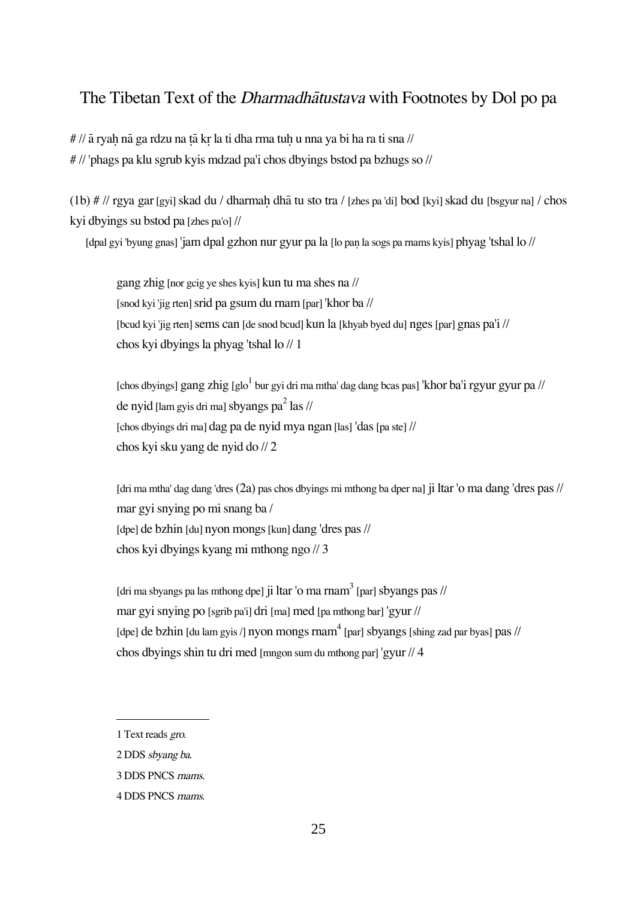# The Tibetan Text of the Dharmadhåtustava with Footnotes by Dol po pa

 $\#$  //  $\bar{a}$  ryah n $\bar{a}$  ga rdzu na t $\bar{a}$  kr la ti dha rma tuh u nna ya bi ha ra ti sna // # // 'phags pa klu sgrub kyis mdzad pa'i chos dbyings bstod pa bzhugs so //

(1b)  $\#$  // rgya gar [gyi] skad du / dharmah dhā tu sto tra / [zhes pa 'di] bod [kyi] skad du [bsgyur na] / chos kyi dbyings su bstod pa [zhes pa'o] //

[dpal gyi 'byung gnas] 'jam dpal gzhon nur gyur pa la [lo pañ la sogs pa rnams kyis] phyag 'tshal lo //

gang zhig [nor gcig ye shes kyis] kun tu ma shes na // [snod kyi 'jig rten] srid pa gsum du rnam [par] 'khor ba // [bcud kyi 'jig rten] sems can [de snod bcud] kun la [khyab byed du] nges [par] gnas pa'i // chos kyi dbyings la phyag 'tshal lo // 1

[chos dbyings] gang zhig [glo $^1$  bur gyi dri ma mtha' dag dang bcas pas] 'khor ba'i rgyur gyur pa // de nyid [lam gyis dri ma] sbyangs pa $^2$  las // [chos dbyings dri ma] dag pa de nyid mya ngan [las] 'das[pa ste] // chos kyi sku yang de nyid do // 2

[dri ma mtha' dag dang 'dres (2a) pas chos dbyings mi mthong ba dper na] ji ltar 'o ma dang 'dres pas // mar gyi snying po mi snang ba / [dpe] de bzhin [du] nyon mongs[kun] dang 'dres pas // chos kyi dbyings kyang mi mthong ngo // 3

[dri ma sbyangs pa las mthong dpe] ji ltar '0 ma rnam $^3$  [par] sbyangs pas // mar gyi snying po [sgrib pa'i] dri [ma] med [pa mthong bar] 'gyur // [dpe] de bzhin [du lam gyis /] nyon mongs rnam $^4$  [par] sbyangs [shing zad par byas] pas // chos dbyings shin tu dri med [mngon sum du mthong par] 'gyur // 4

<sup>1</sup> Text reads gro.

<sup>2</sup> DDS sbyang ba.

<sup>3</sup> DDS PNCS rnams.

<sup>4</sup> DDS PNCS rnams.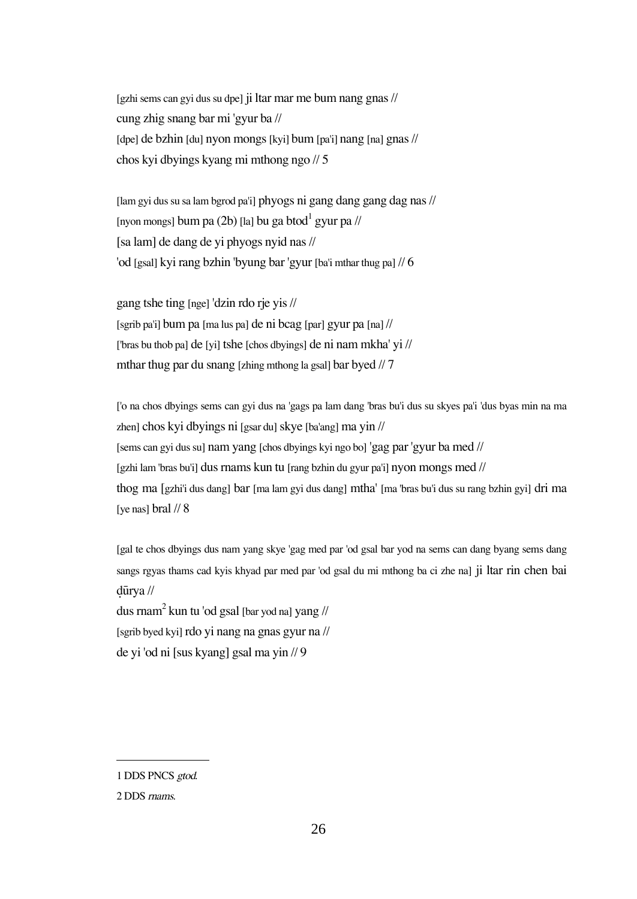[gzhi sems can gyi dus su dpe] ji ltar mar me bum nang gnas // cung zhig snang bar mi 'gyur ba // [dpe] de bzhin [du] nyon mongs[kyi] bum [pa'i] nang [na] gnas // chos kyi dbyings kyang mi mthong ngo // 5

[lam gyi dus su sa lam bgrod pa'i] phyogs ni gang dang gang dag nas // [nyon mongs] bum pa (2b) [la] bu ga btod $^{\rm l}$  gyur pa // [sa lam] de dang de yi phyogs nyid nas // 'od [gsal] kyi rang bzhin 'byung bar 'gyur [ba'i mthar thug pa] // 6

gang tshe ting [nge] 'dzin rdo rje yis // [sgrib pa'i] bum pa [ma lus pa] de ni bcag [par] gyur pa [na] // ['bras bu thob pa] de [yi] tshe [chos dbyings] de ni nam mkha' yi // mthar thug par du snang [zhing mthong la gsal] bar byed // 7

['o na chos dbyings sems can gyi dus na 'gags pa lam dang 'bras bu'i dus su skyes pa'i 'dus byas min na ma zhen] chos kyi dbyings ni [gsar du] skye [ba'ang] ma yin // [sems can gyi dus su] nam yang [chos dbyings kyi ngo bo] 'gag par 'gyur ba med // [gzhi lam 'bras bu'i] dus rnams kun tu [rang bzhin du gyur pa'i] nyon mongs med // thog ma [gzhi'i dus dang] bar [ma lam gyi dus dang] mtha' [ma 'bras bu'i dus su rang bzhin gyi] dri ma [ve nas] bral  $\frac{1}{8}$ 

[gal te chos dbyings dus nam yang skye 'gag med par 'od gsal bar yod na sems can dang byang sems dang sangs rgyas thams cad kyis khyad par med par 'od gsal du mi mthong ba ci zhe na] ji ltar rin chen bai ∂ürya //

dus rnam $^2$  kun tu 'od gsal [bar yod na] yang //  $\,$ [sgrib byed kyi] rdo yi nang na gnas gyur na // de yi 'od ni [sus kyang] gsal ma yin // 9

<sup>1</sup> DDS PNCS gtod.

<sup>2</sup> DDS rnams.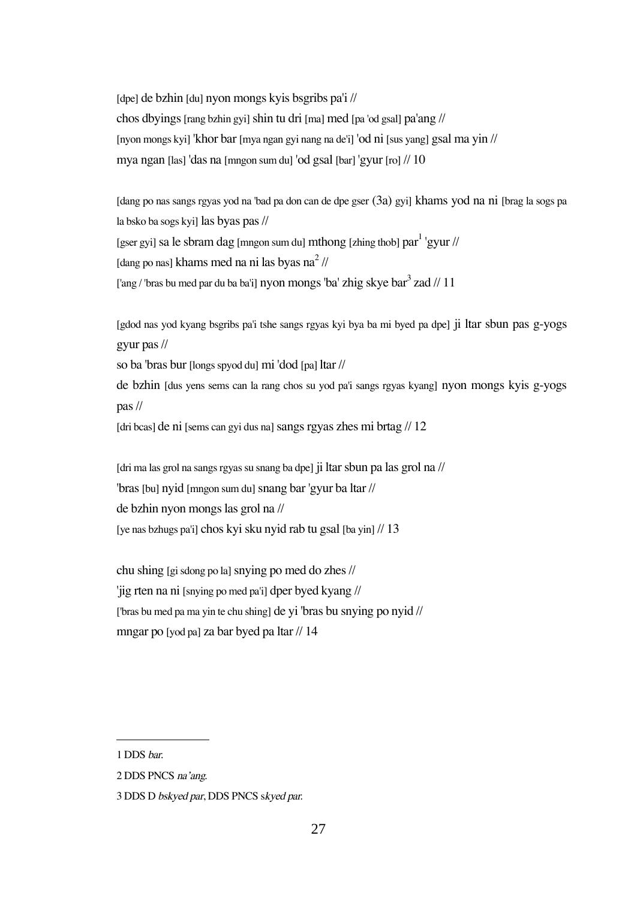[dpe] de bzhin [du] nyon mongs kyis bsgribs pa'i // chos dbyings [rang bzhin gyi] shin tu dri [ma] med [pa 'od gsal] pa'ang // [nyon mongs kyi] 'khor bar [mya ngan gyi nang na de'i] 'od ni [sus yang] gsal ma yin // mya ngan [las] 'das na [mngon sum du] 'od gsal [bar] 'gyur [ro] // 10

[dang po nas sangs rgyas yod na 'bad pa don can de dpe gser (3a) gyi] khams yod na ni [brag la sogs pa la bsko ba sogs kyi] las byas pas // [gser gyi] sa le sbram dag [mngon sum du] mthong [zhing thob] par $^1$  'gyur // [dang po nas] khams med na ni las byas na<sup>2</sup> // ['ang / 'bras bu med par du ba ba'i] nyon mongs 'ba' zhig skye bar $^3$  zad // 11

[gdod nas yod kyang bsgribs pa'i tshe sangs rgyas kyi bya ba mi byed pa dpe] ji ltar sbun pas g-yogs gyur pas //

so ba 'bras bur [longs spyod du] mi 'dod [pa] ltar //

de bzhin [dus yens sems can la rang chos su yod pa'i sangs rgyas kyang] nyon mongs kyis g-yogs pas //

[dri bcas] de ni [sems can gyi dus na] sangs rgyas zhes mi brtag // 12

[dri ma las grol na sangs rgyas su snang ba dpe] ji ltar sbun pa las grol na // 'bras[bu] nyid [mngon sum du]snang bar 'gyur ba ltar // de bzhin nyon mongs las grol na // [ye nas bzhugs pa'i] chos kyi sku nyid rab tu gsal [ba yin] // 13

chu shing [gi sdong po la]snying po med do zhes // 'jig rten na ni [snying po med pa'i] dper byed kyang // ['bras bu med pa ma yin te chu shing] de yi 'bras bu snying po nyid // mngar po [yod pa] za bar byed pa ltar // 14

<sup>1</sup> DDS bar.

<sup>2</sup> DDS PNCS na'ang.

<sup>3</sup> DDS D bskyed par, DDS PNCS skyed par.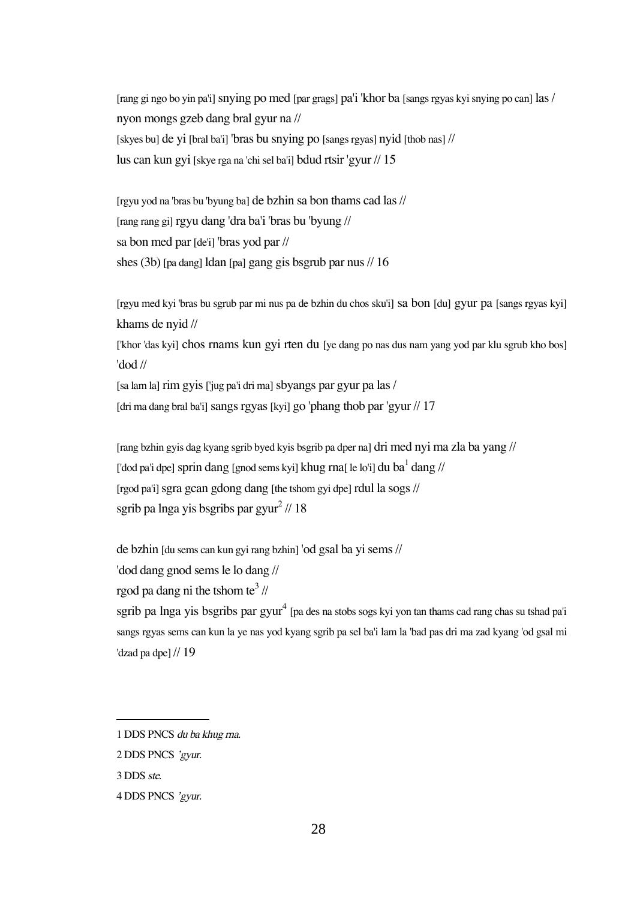[rang gi ngo bo yin pa'i] snying po med [par grags] pa'i 'khor ba [sangs rgyas kyi snying po can] las / nyon mongs gzeb dang bral gyur na // [skyes bu] de yi [bral ba'i] 'bras bu snying po [sangs rgyas] nyid [thob nas] // lus can kun gyi [skye rga na 'chi sel ba'i] bdud rtsir 'gyur // 15

[rgyu yod na 'bras bu 'byung ba] de bzhin sa bon thams cad las // [rang rang gi] rgyu dang 'dra ba'i 'bras bu 'byung // sa bon med par [de'i] 'bras yod par // shes (3b) [pa dang] ldan [pa] gang gis bsgrub par nus // 16

[rgyu med kyi 'bras bu sgrub par mi nus pa de bzhin du chos sku'i] sa bon [du] gyur pa [sangs rgyas kyi] khams de nyid //

['khor 'das kyi] chos rnams kun gyi rten du [ye dang po nas dus nam yang yod par klu sgrub kho bos] 'dod //

[sa lam la] rim gyis ['jug pa'i dri ma] sbyangs par gyur pa las / [dri ma dang bral ba'i] sangs rgyas [kyi] go 'phang thob par 'gyur // 17

[rang bzhin gyis dag kyang sgrib byed kyis bsgrib pa dper na] dri med nyi ma zla ba yang // ['dod pa'i dpe] sprin dang [gnod sems kyi] khug rna[ le lo'i] du ba $^{\rm l}$  dang // [rgod pa'i] sgra gcan gdong dang [the tshom gyi dpe] rdul la sogs // sgrib pa lnga yis bsgribs par gyur $^2$  // 18

de bzhin [du sems can kun gyi rang bzhin] 'od gsal ba yi sems //

'dod dang gnod sems le lo dang //

rgod pa dang ni the tshom te $^3$  //

sgrib pa lnga yis bsgribs par gyur $^4$  [pa des na stobs sogs kyi yon tan thams cad rang chas su tshad pa'i sangs rgyas sems can kun la ye nas yod kyang sgrib pa sel ba'i lam la 'bad pas dri ma zad kyang 'od gsal mi 'dzad pa dpe] // 19

<sup>1</sup> DDS PNCS du ba khug rna.

<sup>2</sup> DDS PNCS 'gyur.

<sup>3</sup> DDS ste.

<sup>4</sup> DDS PNCS 'gyur.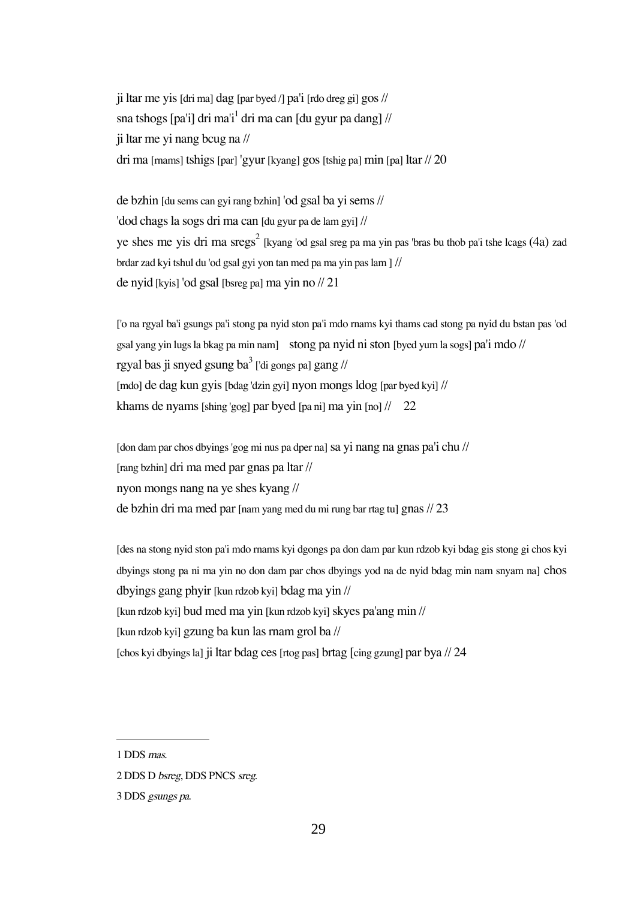ji ltar me yis [dri ma] dag [par byed  $/$ ] pa'i [rdo dreg gi] gos  $//$ sna tshogs [pa'i] dri ma'i<sup>1</sup> dri ma can [du gyur pa dang] // ji ltar me yi nang bcug na // dri ma [rnams] tshigs [par] 'gyur [kyang] gos [tshig pa] min [pa] ltar // 20

de bzhin [du sems can gyi rang bzhin] 'od gsal ba yi sems // 'dod chags la sogs dri ma can [du gyur pa de lam gyi] // ye shes me yis dri ma  $sregs^2$  [kyang 'od gsal sreg pa ma yin pas 'bras bu thob pa'i tshe lcags (4a) zad brdar zad kyi tshul du 'od gsal gyi yon tan med pa ma yin pas lam ] // de nyid [kyis] 'od gsal [bsreg pa] ma yin no // 21

['o na rgyal ba'i gsungs pa'i stong pa nyid ston pa'i mdo rnams kyi thams cad stong pa nyid du bstan pas 'od gsal yang yin lugs la bkag pa min nam] stong pa nyid ni ston [byed yum la sogs] pa'i mdo // rgyal bas ji snyed gsung ba $^3$  ['di gongs pa] gang // [mdo] de dag kun gyis [bdag 'dzin gyi] nyon mongs ldog [par byed kyi] // khams de nyams [shing 'gog] par byed [pa ni] ma yin [no] // 22

[don dam par chos dbyings 'gog mi nus pa dper na] sa yi nang na gnas pa'i chu // [rang bzhin] dri ma med par gnas pa ltar // nyon mongs nang na ye shes kyang // de bzhin dri ma med par [nam yang med du mi rung bar rtag tu] gnas // 23

[des na stong nyid ston pa'i mdo rnams kyi dgongs pa don dam par kun rdzob kyi bdag gis stong gi chos kyi dbyings stong pa ni ma yin no don dam par chos dbyings yod na de nyid bdag min nam snyam na] chos dbyings gang phyir [kun rdzob kyi] bdag ma yin // [kun rdzob kyi] bud med ma yin [kun rdzob kyi] skyes pa'ang min // [kun rdzob kyi] gzung ba kun las rnam grol ba // [chos kyi dbyings la] ji ltar bdag ces [rtog pas] brtag [cing gzung] par bya // 24

<sup>1</sup> DDS mas.

<sup>2</sup> DDS D bsreg, DDS PNCS sreg.

<sup>3</sup> DDS gsungs pa.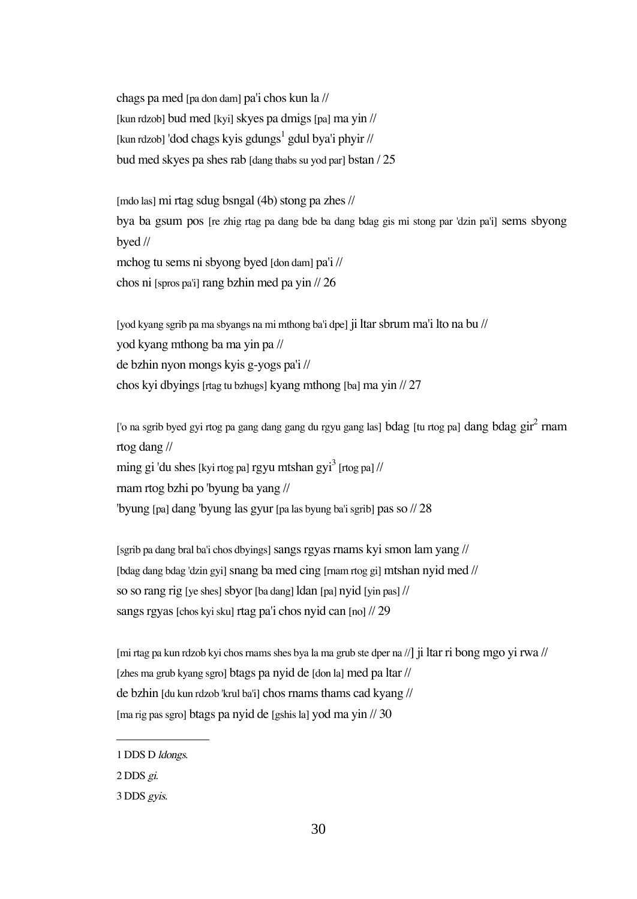chags pa med [pa don dam] pa'i chos kun la // [kun rdzob] bud med [kyi] skyes pa dmigs [pa] ma yin // [kun rdzob] 'dod chags kyis gdungs<sup>1</sup> gdul bya'i phyir // bud med skyes pa shes rab [dang thabs su yod par] bstan / 25

[mdo las] mi rtag sdug bsngal (4b) stong pa zhes // bya ba gsum pos [re zhig rtag pa dang bde ba dang bdag gis mi stong par 'dzin pa'i] sems sbyong byed //

mchog tu sems ni sbyong byed [don dam] pa'i // chos ni [spros pa'i] rang bzhin med pa yin // 26

[yod kyang sgrib pa ma sbyangs na mi mthong ba'i dpe] ji ltar sbrum ma'i lto na bu // yod kyang mthong ba ma yin pa // de bzhin nyon mongs kyis g-yogs pa'i // chos kyi dbyings [rtag tu bzhugs] kyang mthong [ba] ma yin // 27

['o na sgrib byed gyi rtog pa gang dang gang du rgyu gang las]  $b$ dag [tu rtog pa] dang  $b$ dag  $\mathrm{gir}^2$  rnam rtog dang //

ming gi 'du shes [kyi rtog pa] rgyu mtshan gyi $^3$  [rtog pa] //

rnam rtog bzhi po 'byung ba yang //

'byung [pa] dang 'byung las gyur [pa las byung ba'i sgrib] pas so // 28

[sgrib pa dang bral ba'i chos dbyings] sangs rgyas rnams kyi smon lam yang // [bdag dang bdag 'dzin gyi] snang ba med cing [rnam rtog gi] mtshan nyid med // so so rang rig [ye shes] sbyor [ba dang] ldan [pa] nyid [yin pas] // sangs rgyas [chos kyi sku] rtag pa'i chos nyid can [no] // 29

[mi rtag pa kun rdzob kyi chos rnams shes bya la ma grub ste dper na //] ji ltar ri bong mgo yi rwa // [zhes ma grub kyang sgro] btags pa nyid de [don la] med pa ltar // de bzhin [du kun rdzob 'krul ba'i] chos rnams thams cad kyang // [ma rig pas sgro] btags pa nyid de [gshis la] yod ma yin // 30

<sup>1</sup> DDS D ldongs.

<sup>2</sup> DDS gi.

<sup>3</sup> DDS gyis.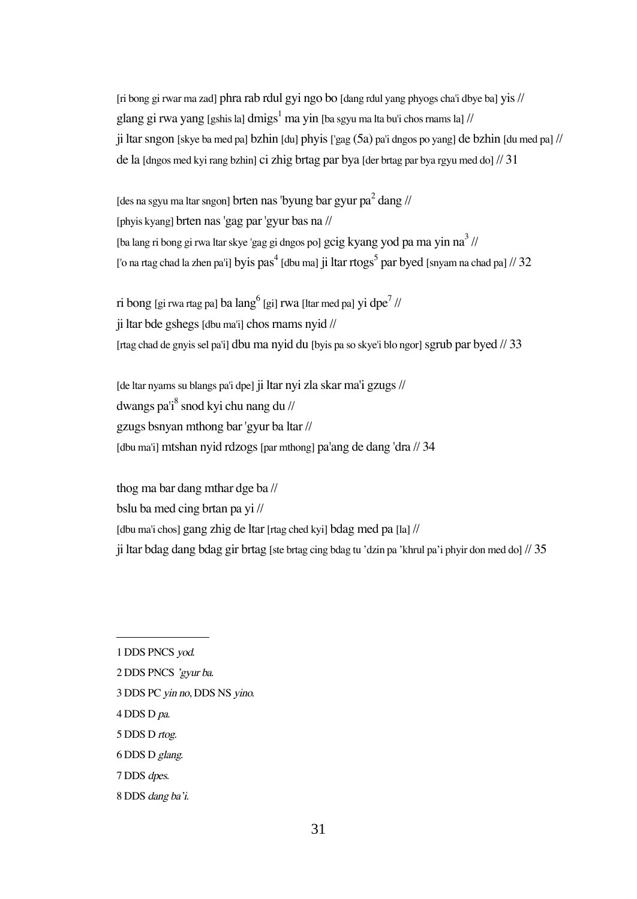[ri bong gi rwar ma zad] phra rab rdul gyi ngo bo [dang rdul yang phyogs cha'i dbye ba] yis // glang gi rwa yang [gshis la] dmigs<sup>1</sup> ma yin [ba sgyu ma lta bu'i chos mams la] // ji ltar sngon [skye ba med pa] bzhin [du] phyis ['gag (5a) pa'i dngos po yang] de bzhin [du med pa] // de la [dngos med kyi rang bzhin] ci zhig brtag par bya [der brtag par bya rgyu med do] // 31

[des na sgyu ma ltar sngon] brten nas 'byung bar gyur pa $^2$  dang // [phyis kyang] brten nas 'gag par 'gyur bas na // [ba lang ri bong gi rwa ltar skye 'gag gi dngos po] gcig kyang yod pa ma yin na $^3$  // ['o na rtag chad la zhen pa'i] byis pas $^4$  [dbu ma] ji ltar rtogs $^5$  par byed [snyam na chad pa] // 32

ri bong [gi rwa rtag pa] ba lang $^6$  [gi] rwa [ltar med pa] yi dpe $^7$  // ji ltar bde gshegs [dbu ma'i] chos rnams nyid // [rtag chad de gnyis sel pa'i] dbu ma nyid du [byis pa so skye'i blo ngor] sgrub par byed // 33

[de ltar nyams su blangs pa'i dpe] ji ltar nyi zla skar ma'i gzugs // dwangs pa'i $^8$  snod kyi chu nang du // gzugs bsnyan mthong bar 'gyur ba ltar // [dbu ma'i] mtshan nyid rdzogs [par mthong] pa'ang de dang 'dra // 34

thog ma bar dang mthar dge ba // bslu ba med cing brtan pa yi // [dbu ma'i chos] gang zhig de ltar [rtag ched kyi] bdag med pa [la] // ji ltar bdag dang bdag gir brtag [ste brtag cing bdag tu 'dzin pa 'khrul pa'i phyir don med do] // 35

- 3 DDS PC yin no, DDS NS yino.
- 4 DDS D pa.
- 5 DDS D rtog.
- 6 DDS D glang.
- 7 DDS dpes.
- 8 DDS dang ba'i.

<sup>1</sup> DDS PNCS yod.

<sup>2</sup> DDS PNCS 'gyur ba.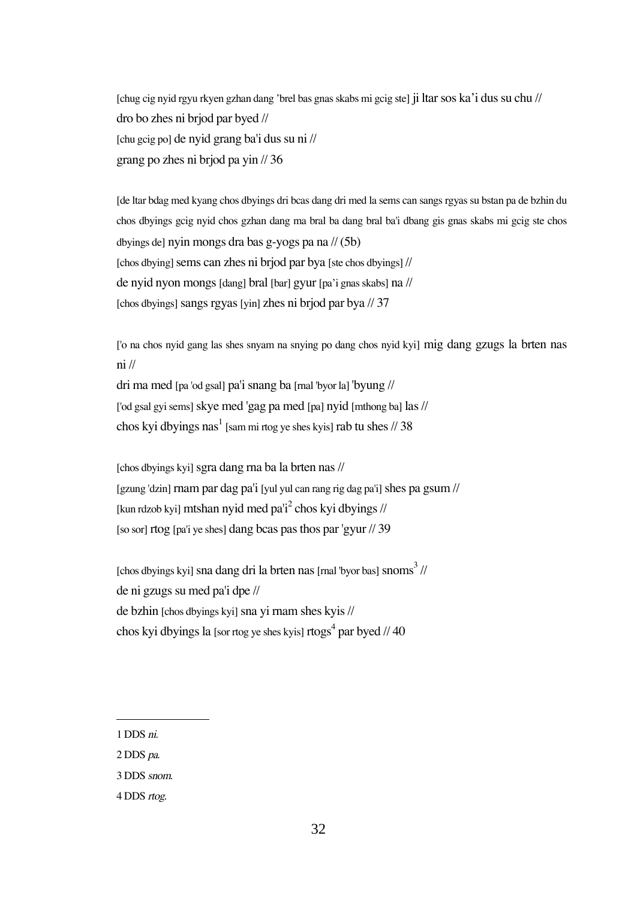[chug cig nyid rgyu rkyen gzhan dang 'brel bas gnas skabs mi gcig ste] ji ltar sos ka'i dus su chu // dro bo zhes ni brjod par byed // [chu gcig po] de nyid grang ba'i dus su ni // grang po zhes ni brjod pa yin // 36

[de ltar bdag med kyang chos dbyings dri bcas dang dri med la sems can sangs rgyas su bstan pa de bzhin du chos dbyings gcig nyid chos gzhan dang ma bral ba dang bral ba'i dbang gis gnas skabs mi gcig ste chos dbyings de] nyin mongs dra bas g-yogs pa na // (5b) [chos dbying] sems can zhes ni brjod par bya [ste chos dbyings] // de nyid nyon mongs [dang] bral [bar] gyur [pa'i gnas skabs] na // [chos dbyings] sangs rgyas [yin] zhes ni brjod par bya // 37

['o na chos nyid gang las shes snyam na snying po dang chos nyid kyi] mig dang gzugs la brten nas ni //

dri ma med [pa 'od gsal] pa'i snang ba [rnal 'byor la] 'byung // ['od gsal gyi sems] skye med 'gag pa med [pa] nyid [mthong ba] las // chos kyi dbyings nas<sup>1</sup> [sam mi rtog ye shes kyis] rab tu shes // 38

[chos dbyings kyi]sgra dang rna ba la brten nas // [gzung 'dzin] rnam par dag pa'i [yul yul can rang rig dag pa'i] shes pa gsum  $\frac{1}{2}$ [kun rdzob kyi] mtshan nyid med pa'i<sup>2</sup> chos kyi dbyings // [so sor] rtog [pa'i ye shes] dang bcas pas thos par 'gyur // 39

[chos dbyings kyi] sna dang dri la brten nas [mal 'byor bas] snoms $^3$  // de ni gzugs su med pa'i dpe // de bzhin [chos dbyings kyi]sna yi rnam shes kyis // chos kyi dbyings la [sor rtog ye shes kyis] rtogs<sup>4</sup> par byed // 40

2 DDS pa.

<sup>1</sup> DDS ni.

<sup>3</sup> DDS snom.

<sup>4</sup> DDS rtog.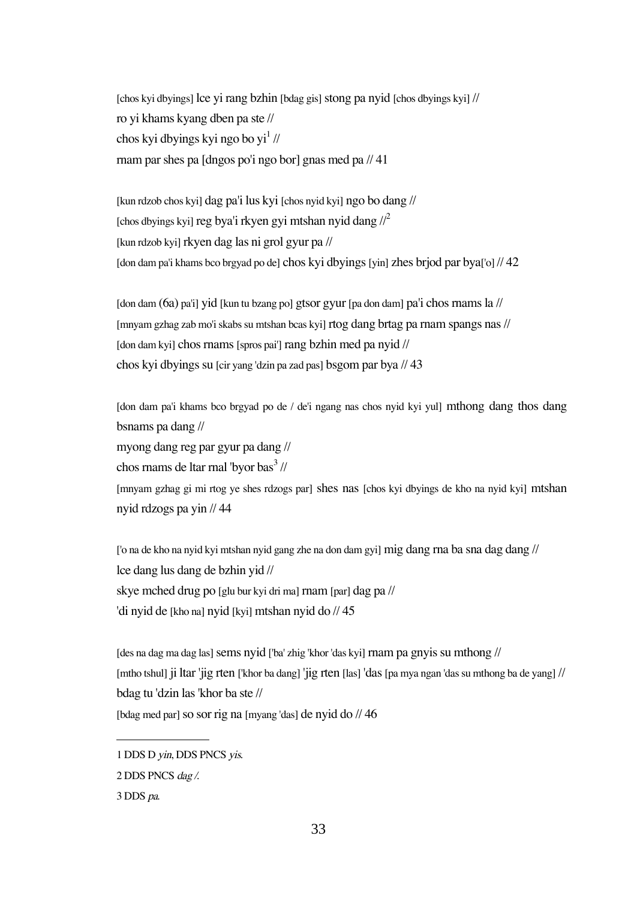[chos kyi dbyings] lce yi rang bzhin [bdag gis] stong pa nyid [chos dbyings kyi] // ro yi khams kyang dben pa ste // chos kyi dbyings kyi ngo bo yi $^1$  // rnam par shes pa [dngos po'i ngo bor] gnas med pa // 41

[kun rdzob chos kyi] dag pa'i lus kyi [chos nyid kyi] ngo bo dang // [chos dbyings kyi] reg bya'i rkyen gyi mtshan nyid dang  $\ell^2$ [kun rdzob kyi] rkyen dag las ni grol gyur pa // [don dam pa'i khams bco brgyad po de] chos kyi dbyings[yin] zhes brjod par bya['o] // 42

[don dam (6a) pa'i] yid [kun tu bzang po] gtsor gyur [pa don dam] pa'i chos rnams la // [mnyam gzhag zab mo'i skabs su mtshan bcas kyi] rtog dang brtag pa rnam spangs nas // [don dam kyi] chos rnams[spros pai'] rang bzhin med pa nyid // chos kyi dbyings su [cir yang 'dzin pa zad pas] bsgom par bya // 43

[don dam pa'i khams bco brgyad po de / de'i ngang nas chos nyid kyi yul] mthong dang thos dang bsnams pa dang //

myong dang reg par gyur pa dang //

chos rnams de ltar rnal 'byor bas $^3$  //

[mnyam gzhag gi mi rtog ye shes rdzogs par] shes nas [chos kyi dbyings de kho na nyid kyi] mtshan nyid rdzogs pa yin // 44

['o na de kho na nyid kyi mtshan nyid gang zhe na don dam gyi] mig dang rna ba sna dag dang // lce dang lus dang de bzhin yid // skye mched drug po [glu bur kyi dri ma] rnam [par] dag pa // 'di nyid de [kho na] nyid [kyi] mtshan nyid do // 45

[des na dag ma dag las] sems nyid ['ba' zhig 'khor 'das kyi] rnam pa gnyis su mthong // [mtho tshul] ji ltar 'jig rten ['khor ba dang] 'jig rten [las] 'das [pa mya ngan 'das su mthong ba de yang] // bdag tu 'dzin las 'khor ba ste // [bdag med par] so sor rig na [myang 'das] de nyid do // 46

<sup>1</sup> DDS D yin, DDS PNCS yis.

<sup>2</sup> DDS PNCS dag /.

<sup>3</sup> DDS pa.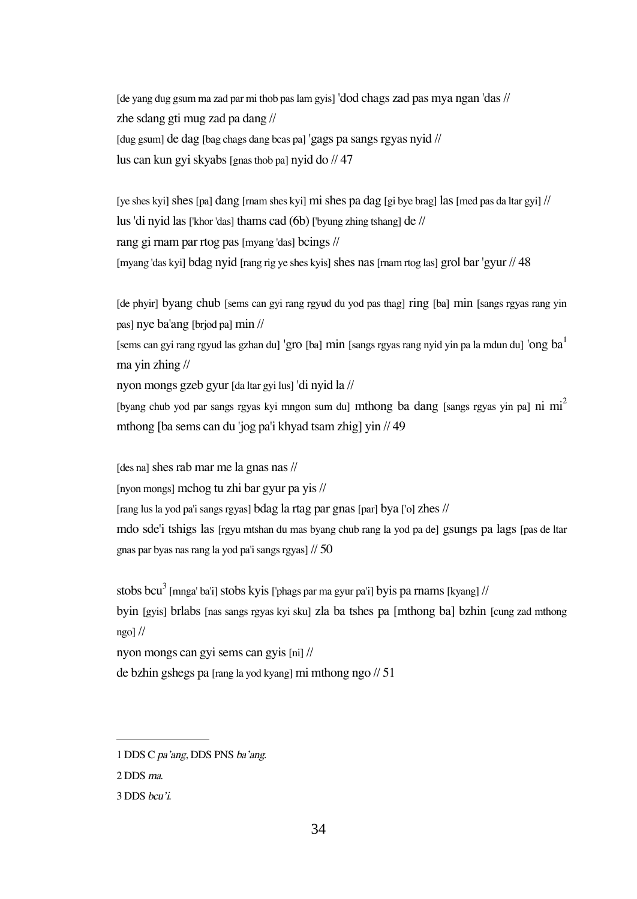[de yang dug gsum ma zad par mi thob pas lam gyis] 'dod chags zad pas mya ngan 'das // zhe sdang gti mug zad pa dang // [dug gsum] de dag [bag chags dang bcas pa] 'gags pa sangs rgyas nyid // lus can kun gyi skyabs [gnas thob pa] nyid do // 47

[ye shes kyi] shes [pa] dang [rnam shes kyi] mi shes pa dag [gi bye brag] las [med pas da ltar gyi]  $\frac{1}{2}$ lus 'di nyid las ['khor 'das] thams cad (6b) ['byung zhing tshang] de // rang gi rnam par rtog pas [myang 'das] bcings // [myang 'das kyi] bdag nyid [rang rig ye shes kyis] shes nas [rnam rtog las] grol bar 'gyur // 48

[de phyir] byang chub [sems can gyi rang rgyud du yod pas thag] ring [ba] min [sangs rgyas rang yin pas] nye ba'ang [brjod pa] min //

[sems can gyi rang rgyud las gzhan du] 'gro [ba] min [sangs rgyas rang nyid yin pa la mdun du] 'ong ba<sup>1</sup> ma yin zhing //

nyon mongs gzeb gyur [da ltar gyi lus] 'di nyid la //

[byang chub yod par sangs rgyas kyi mngon sum du] mthong ba dang [sangs rgyas yin pa] ni mi<sup>2</sup> mthong [ba sems can du 'jog pa'i khyad tsam zhig] yin // 49

[des na] shes rab mar me la gnas nas //

[nyon mongs] mchog tu zhi bar gyur pa yis //

[rang lus la yod pa'i sangs rgyas] bdag la rtag par gnas [par] bya ['o] zhes //

mdo sde'i tshigs las [rgyu mtshan du mas byang chub rang la yod pa de] gsungs pa lags [pas de ltar gnas par byas nas rang la yod pa'i sangs rgyas] // 50

stobs bcu<sup>3</sup> [mnga' ba'i] stobs kyis ['phags par ma gyur pa'i] byis pa rnams [kyang] //

byin [gyis] brlabs [nas sangs rgyas kyi sku] zla ba tshes pa [mthong ba] bzhin [cung zad mthong  $ngo$ ] //

nyon mongs can gyi sems can gyis [ni] //

de bzhin gshegs pa [rang la yod kyang] mi mthong ngo // 51

<sup>1</sup> DDS C pa'ang, DDS PNS ba'ang.

<sup>2</sup> DDS ma.

<sup>3</sup> DDS bcu'i.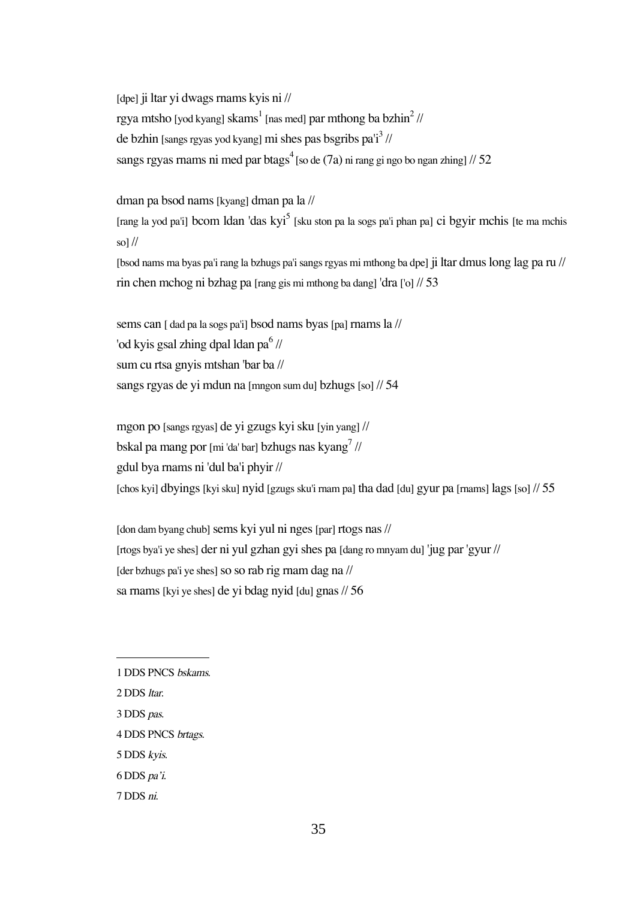[dpe] ji ltar yi dwags rnams kyis ni // rgya mtsho [yod kyang] skams $^{\rm l}$  [nas med]  $\rm{par}$  mthong ba bzh $\rm{in}^{\rm 2}$  // de bzhin [sangs rgyas yod kyang] mi shes pas bsgribs pa'i<sup>3</sup> // sangs rgyas rnams ni med par b ${\rm tags}^4$  [so de (7a) ni rang gi ngo bo ngan zhing] // 52

dman pa bsod nams [kyang] dman pa la //

[rang la yod pa'i] bcom ldan 'das kyi<sup>5</sup> [sku ston pa la sogs pa'i phan pa] ci bgyir mchis [te ma mchis so] $\frac{1}{2}$ 

[bsod nams ma byas pa'i rang la bzhugs pa'i sangs rgyas mi mthong ba dpe] ji ltar dmus long lag pa ru // rin chen mchog ni bzhag pa [rang gis mi mthong ba dang] 'dra ['o] // 53

sems can [ dad pa la sogs pa'i] bsod nams byas [pa] rnams la // 'od kyis gsal zhing dpal ldan pa $^6$  // sum cu rtsa gnyis mtshan 'bar ba // sangs rgyas de yi mdun na [mngon sum du] bzhugs [so] // 54

mgon po [sangs rgyas] de yi gzugs kyi sku [yin yang] // bskal pa mang por [mi 'da' bar] bzhugs nas kyang $^7$  // gdul bya rnams ni 'dul ba'i phyir // [chos kyi] dbyings [kyi sku] nyid [gzugs sku'i rnam pa] tha dad [du] gyur pa [rnams] lags [so] // 55

[don dam byang chub] sems kyi yul ni nges [par] rtogs nas // [rtogs bya'i ye shes] der ni yul gzhan gyi shes pa [dang ro mnyam du] 'jug par 'gyur // [der bzhugs pa'i ye shes] so so rab rig rnam dag na  $\frac{1}{2}$ sa rnams[kyi ye shes] de yi bdag nyid [du] gnas // 56

- 3 DDS pas.
- 4 DDS PNCS brtags.
- 5 DDS kyis.
- 6 DDS pa'i.
- 7 DDS ni.

<sup>1</sup> DDS PNCS bskams.

<sup>2</sup> DDS ltar.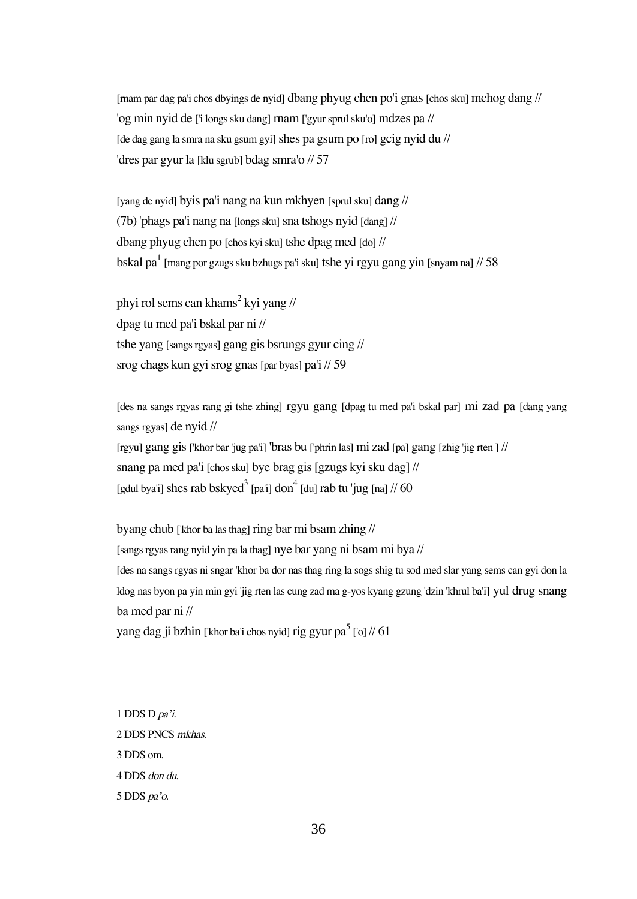[rnam par dag pa'i chos dbyings de nyid] dbang phyug chen po'i gnas [chos sku] mchog dang // 'og min nyid de ['i longs sku dang] rnam ['gyur sprul sku'o] mdzes pa // [de dag gang la smra na sku gsum gyi] shes pa gsum po [ro] gcig nyid du // 'dres par gyur la [klu sgrub] bdag smra'o // 57

[yang de nyid] byis pa'i nang na kun mkhyen [sprul sku] dang // (7b) 'phags pa'i nang na [longs sku] sna tshogs nyid [dang] // dbang phyug chen po [chos kyi sku] tshe dpag med [do] // bskal pa $^1$  [mang por gzugs sku bzhugs pa'i sku] tshe yi rgyu gang yin [snyam na] // 58

phyi rol sems can khams $^2$  kyi yang // dpag tu med pa'i bskal par ni // tshe yang [sangs rgyas] gang gis bsrungs gyur cing // srog chags kun gyi srog gnas [par byas] pa'i // 59

[des na sangs rgyas rang gi tshe zhing] rgyu gang [dpag tu med pa'i bskal par] mi zad pa [dang yang sangs rgyas] de nyid //

[rgyu] gang gis['khor bar 'jug pa'i] 'bras bu ['phrin las] mi zad [pa] gang [zhig 'jig rten ] // snang pa med pa'i [chos sku] bye brag gis [gzugs kyi sku dag] // [gdul bya'i] shes rab bskyed $^3$  [pa'i] don $^4$  [du] rab tu 'jug [na] // 60

byang chub ['khor ba las thag] ring bar mi bsam zhing //

[sangs rgyas rang nyid yin pa la thag] nye bar yang ni bsam mi bya //

[des na sangs rgyas ni sngar 'khor ba dor nas thag ring la sogs shig tu sod med slar yang sems can gyi don la ldog nas byon pa yin min gyi 'jig rten las cung zad ma g-yos kyang gzung 'dzin 'khrul ba'i] yul drug snang ba med par ni //

yang dag ji bzhin ['khor ba'i chos nyid] rig gyur pa $^5$  ['o] //  $61$ 

3 DDS om.

5 DDS pa'o.

<sup>1</sup> DDS D pa'i.

<sup>2</sup> DDS PNCS mkhas.

<sup>4</sup> DDS don du.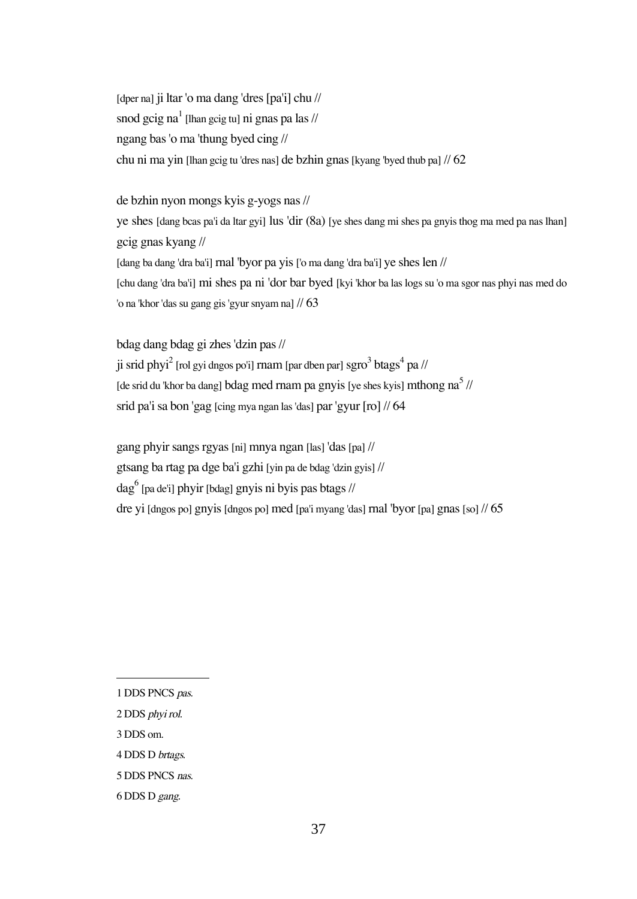[dper na] ji ltar 'o ma dang 'dres [pa'i] chu // snod gcig na $^1$  [lhan gcig tu] ni gnas pa las // ngang bas 'o ma 'thung byed cing // chu ni ma yin [lhan gcig tu 'dres nas] de bzhin gnas [kyang 'byed thub pa] // 62

#### de bzhin nyon mongs kyis g-yogs nas //

ye shes [dang bcas pa'i da ltar gyi] lus 'dir (8a) [ye shes dang mi shes pa gnyis thog ma med pa nas lhan] gcig gnas kyang // [dang ba dang 'dra ba'i] rnal 'byor pa yis ['o ma dang 'dra ba'i] ye shes len // [chu dang 'dra ba'i] mi shes pa ni 'dor bar byed [kyi 'khor ba las logs su 'o ma sgor nas phyi nas med do 'o na 'khor 'das su gang gis 'gyur snyam na] // 63

bdag dang bdag gi zhes 'dzin pas //

ji srid phyi $^2$  [rol gyi dngos po'i] rnam [par dben par] sgro $^3$  btags $^4$  pa // [de srid du 'khor ba dang] bdag med rnam pa gnyis [ye shes kyis] mthong na<sup>5</sup> // srid pa'i sa bon 'gag [cing mya ngan las 'das] par 'gyur [ro] // 64

gang phyir sangs rgyas [ni] mnya ngan [las] 'das[pa] // gtsang ba rtag pa dge ba'i gzhi [yin pa de bdag 'dzin gyis] // dag<sup>6</sup> [pa de'i] phyir [bdag] gnyis ni byis pas btags // dre yi [dngos po] gnyis [dngos po] med [pa'i myang 'das] rnal 'byor [pa] gnas [so]  $\frac{1}{65}$ 

- 3 DDS om.
- 4 DDS D brtags.

<sup>1</sup> DDS PNCS pas.

<sup>2</sup> DDS phyi rol.

<sup>5</sup> DDS PNCS nas.

<sup>6</sup> DDS D gang.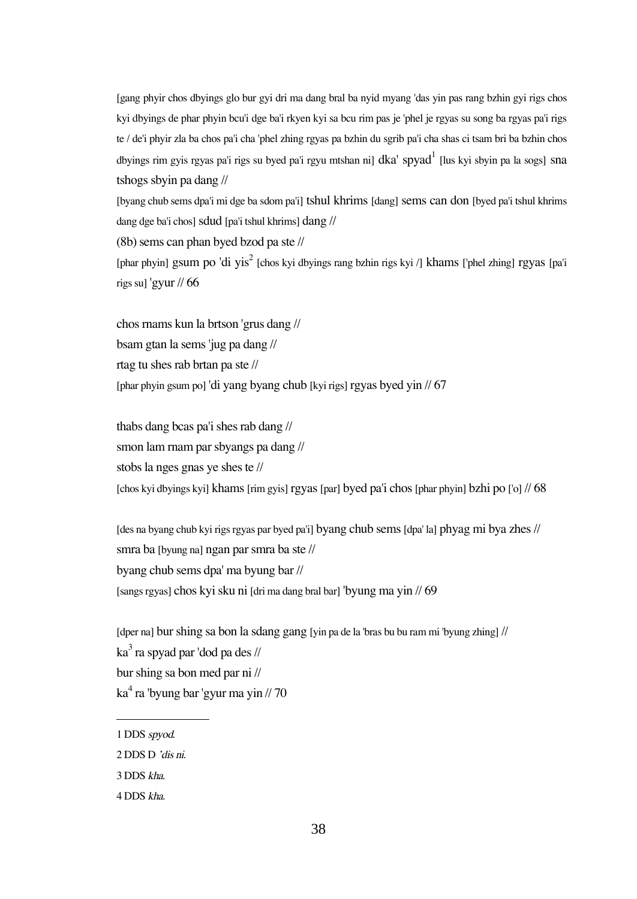[gang phyir chos dbyings glo bur gyi dri ma dang bral ba nyid myang 'das yin pas rang bzhin gyi rigs chos kyi dbyings de phar phyin bcu'i dge ba'i rkyen kyi sa bcu rim pas je 'phel je rgyas su song ba rgyas pa'i rigs te / de'i phyir zla ba chos pa'i cha 'phel zhing rgyas pa bzhin du sgrib pa'i cha shas ci tsam bri ba bzhin chos dbyings rim gyis rgyas pa'i rigs su byed pa'i rgyu mtshan ni] d $\rm{ka}^\prime$  spya $\rm{d}^1$  [lus kyi sbyin pa la sogs] sna tshogs sbyin pa dang //

[byang chub sems dpa'i mi dge ba sdom pa'i] tshul khrims [dang] sems can don [byed pa'i tshul khrims dang dge ba'i chos] sdud [pa'i tshul khrims] dang //

(8b) sems can phan byed bzod pa ste //

[phar phyin] gsum po 'di yis<sup>2</sup> [chos kyi dbyings rang bzhin rigs kyi /] khams ['phel zhing] rgyas [pa'i rigs su] 'gyur // 66

chos rnams kun la brtson 'grus dang // bsam gtan la sems 'jug pa dang // rtag tu shes rab brtan pa ste // [phar phyin gsum po] 'di yang byang chub [kyi rigs] rgyas byed yin // 67

thabs dang bcas pa'i shes rab dang // smon lam rnam par sbyangs pa dang // stobs la nges gnas ye shes te //  $\lceil \text{chos kyi dbyings kyi} \rceil$  khams  $\lceil \text{rim gyis} \rceil$  rgyas  $\lceil \text{par} \rceil$  byed pa'i chos  $\lceil \text{char phvin} \rceil$  bzhi po  $\lceil \text{lo} \rceil$  // 68

[des na byang chub kyi rigs rgyas par byed pa'i] byang chub sems[dpa' la] phyag mi bya zhes // smra ba [byung na] ngan par smra ba ste // byang chub sems dpa' ma byung bar // [sangs rgyas] chos kyi sku ni [dri ma dang bral bar] 'byung ma yin // 69

[dper na] bur shing sa bon la sdang gang [yin pa de la 'bras bu bu ram mi 'byung zhing] // ka $^3$  ra spyad par 'dod pa des // bur shing sa bon med par ni // ka<sup>4</sup> ra 'byung bar 'gyur ma yin // 70

3 DDS kha.

<sup>1</sup> DDS spyod.

<sup>2</sup> DDS D 'dis ni.

<sup>4</sup> DDS kha.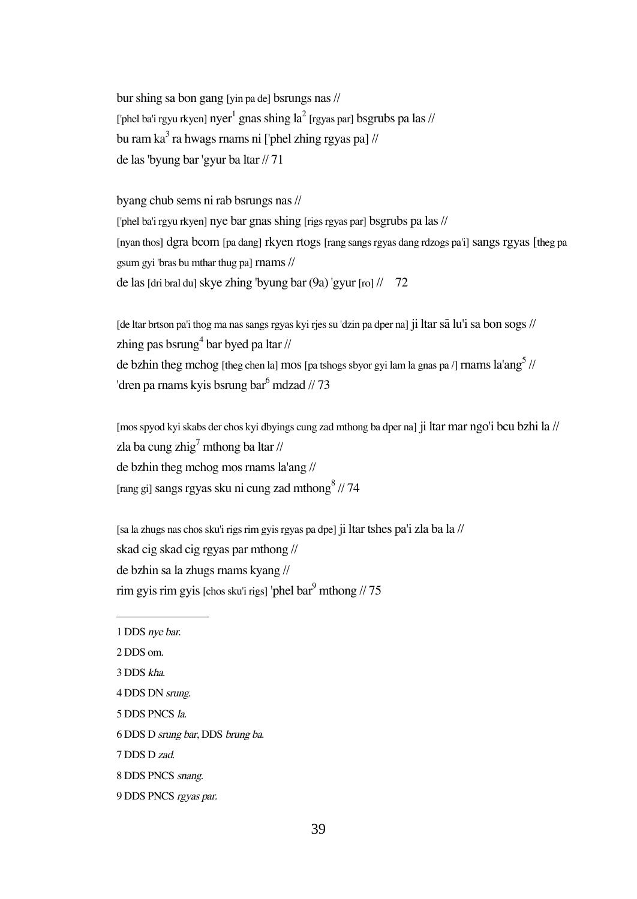bur shing sa bon gang [yin pa de] bsrungs nas // ['phel ba'i rgyu rkyen]  $\text{nyer}^1$  gnas shing la $^2$  [rgyas par] bsgrubs pa las // bu ram ka $^3$  ra hwags rnams ni ['phel zhing rgyas pa] //  $\,$ de las 'byung bar 'gyur ba ltar // 71

byang chub sems ni rab bsrungs nas //

['phel ba'i rgyu rkyen] nye bar gnas shing [rigs rgyas par] bsgrubs pa las // [nyan thos] dgra bcom [pa dang] rkyen rtogs [rang sangs rgyas dang rdzogs pa'i] sangs rgyas [theg pa gsum gyi 'bras bu mthar thug pa] rnams // de las [dri bral du] skye zhing 'byung bar (9a) 'gyur [ro]  $\frac{1}{72}$ 

[de ltar brtson pa'i thog ma nas sangs rgyas kyi rjes su 'dzin pa dper na] ji ltar så lu'i sa bon sogs // zhing pas bsrung $^4$  bar byed pa ltar // de bzhin theg mchog [theg chen la] mos [pa tshogs sbyor gyi lam la gnas pa /] rnams  $\mathrm{la}^{\mathrm{t}}$ ang $^{\mathrm{5}}$  // 'dren pa rnams kyis bsrung bar<sup>6</sup> mdzad // 73

[mos spyod kyi skabs der chos kyi dbyings cung zad mthong ba dper na] ji ltar mar ngo'i bcu bzhi la // zla ba cung zhig<sup>7</sup> mthong ba ltar // de bzhin theg mchog mos rnams la'ang // [rang gi] sangs rgyas sku ni cung zad mthong 8 // 74

[sa la zhugs nas chos sku'i rigs rim gyis rgyas pa dpe] ji ltar tshes pa'i zla ba la // skad cig skad cig rgyas par mthong // de bzhin sa la zhugs rnams kyang // rim gyis rim gyis [chos sku'i rigs] 'phel bar $\frac{9}{2}$  mthong // 75

- 2 DDS om.
- 3 DDS kha.
- 4 DDS DN srung.
- 5 DDS PNCS la.
- 6 DDS D srung bar, DDS brung ba.
- 7 DDS D zad.
- 8 DDS PNCS snang.
- 9 DDS PNCS rgyas par.

<sup>1</sup> DDS nye bar.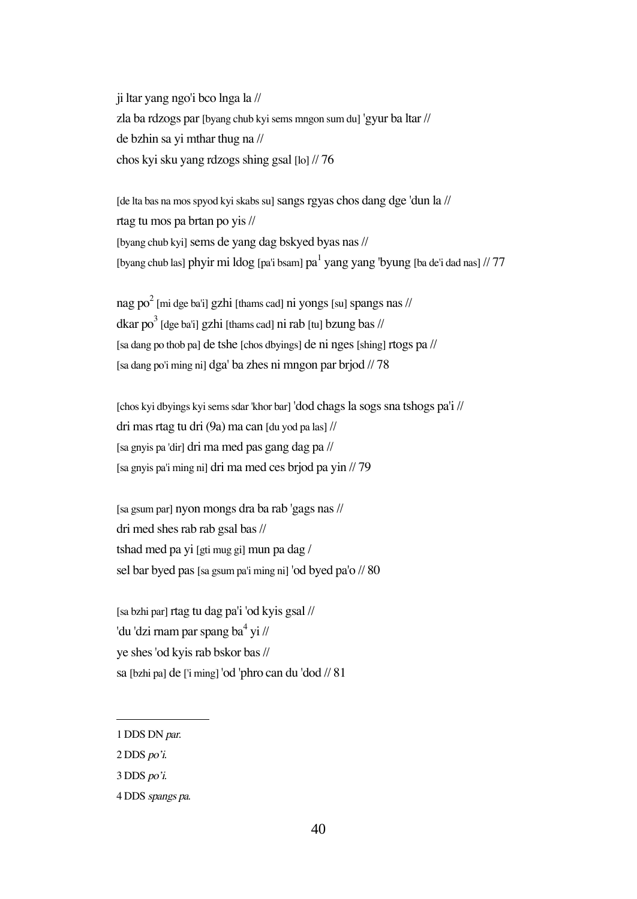ji ltar yang ngo'i bco lnga la // zla ba rdzogs par [byang chub kyi sems mngon sum du] 'gyur ba ltar // de bzhin sa yi mthar thug na // chos kyi sku yang rdzogs shing gsal [lo] // 76

[de lta bas na mos spyod kyi skabs su] sangs rgyas chos dang dge 'dun la // rtag tu mos pa brtan po yis // [byang chub kyi] sems de yang dag bskyed byas nas // [byang chub las] phyir mi ldog [pa'i bsam]  $pa<sup>1</sup>$  yang yang 'byung [ba de'i dad nas] // 77

nag po $^2$  [mi dge ba'i] gzhi [thams cad] ni yongs [su] spangs nas // dkar po $^3$  [dge ba'i] gzhi [thams cad] ni rab [tu] bzung bas // [sa dang po thob pa] de tshe [chos dbyings] de ni nges[shing] rtogs pa // [sa dang po'i ming ni] dga' ba zhes ni mngon par brjod // 78

[chos kyi dbyings kyi sems sdar 'khor bar] 'dod chags la sogs sna tshogs pa'i // dri mas rtag tu dri (9a) ma can [du yod pa las] // [sa gnyis pa 'dir] dri ma med pas gang dag pa // [sa gnyis pa'i ming ni] dri ma med ces brjod pa yin // 79

[sa gsum par] nyon mongs dra ba rab 'gags nas // dri med shes rab rab gsal bas // tshad med pa yi [gti mug gi] mun pa dag / sel bar byed pas [sa gsum pa'i ming ni] 'od byed pa'o // 80

[sa bzhi par] rtag tu dag pa'i 'od kyis gsal // 'du 'dzi rnam par spang ba<sup>4</sup> yi // ye shes 'od kyis rab bskor bas // sa [bzhi pa] de ['i ming] 'od 'phro can du 'dod // 81

<sup>1</sup> DDS DN par.

<sup>2</sup> DDS po'i.

<sup>3</sup> DDS po'i.

<sup>4</sup> DDS spangs pa.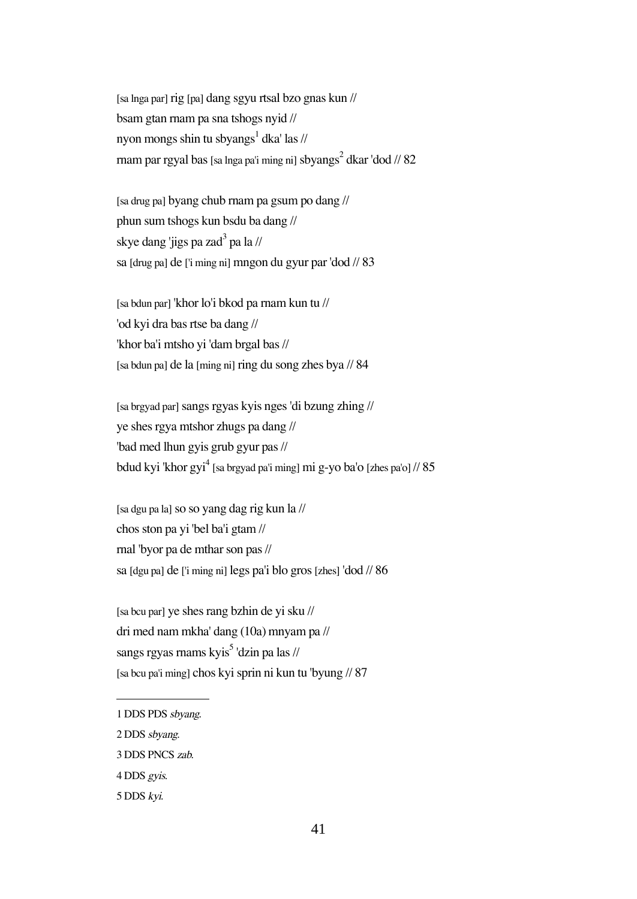[sa lnga par] rig [pa] dang sgyu rtsal bzo gnas kun // bsam gtan rnam pa sna tshogs nyid // nyon mongs shin tu sbyangs<sup>1</sup> dka' las // rnam par rgyal bas [sa lnga pa'i ming ni] sbyangs $^2$  dkar 'dod // 82 $\,$ 

[sa drug pa] byang chub rnam pa gsum po dang // phun sum tshogs kun bsdu ba dang // skye dang 'jigs pa zad<sup>3</sup> pa la // sa [drug pa] de ['i ming ni] mngon du gyur par 'dod // 83

[sa bdun par] 'khor lo'i bkod pa rnam kun tu // 'od kyi dra bas rtse ba dang // 'khor ba'i mtsho yi 'dam brgal bas // [sa bdun pa] de la [ming ni] ring du song zhes bya // 84

[sa brgyad par]sangs rgyas kyis nges 'di bzung zhing // ye shes rgya mtshor zhugs pa dang // 'bad med lhun gyis grub gyur pas // bdud kyi 'khor gyi $^4$  [sa brgyad pa'i ming] mi g-yo ba'o [zhes pa'o] // 85

[sa dgu pa la]so so yang dag rig kun la // chos ston pa yi 'bel ba'i gtam // rnal 'byor pa de mthar son pas // sa [dgu pa] de ['i ming ni] legs pa'i blo gros [zhes] 'dod // 86

[sa bcu par] ye shes rang bzhin de yi sku // dri med nam mkha' dang (10a) mnyam pa // sangs rgyas rnams kyis<sup>5</sup> 'dzin pa las // [sa bcu pa'i ming] chos kyi sprin ni kun tu 'byung // 87

<sup>1</sup> DDS PDS sbyang.

<sup>2</sup> DDS sbyang.

<sup>3</sup> DDS PNCS zab.

<sup>4</sup> DDS gyis.

<sup>5</sup> DDS kyi.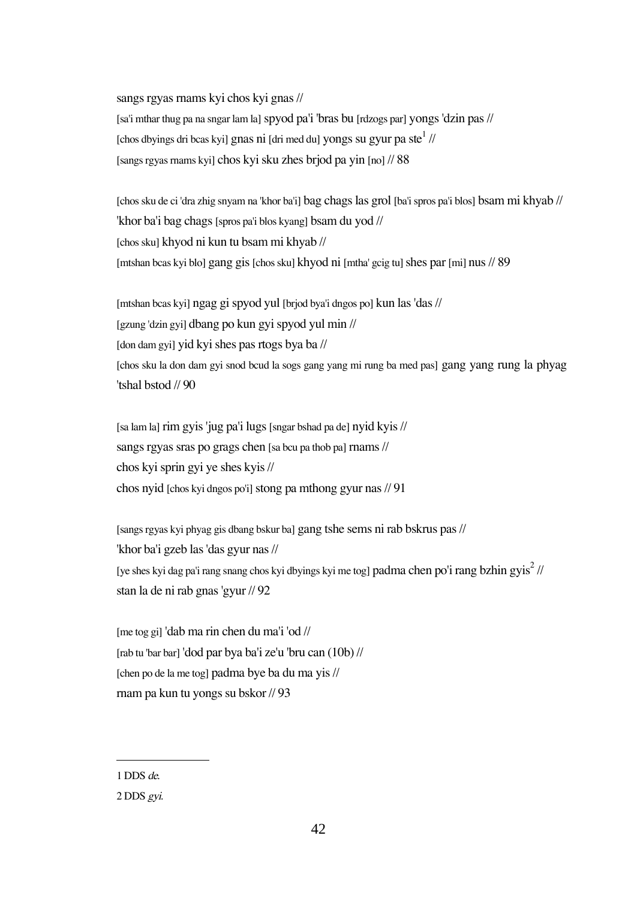sangs rgyas rnams kyi chos kyi gnas // [sa'i mthar thug pa na sngar lam la] spyod pa'i 'bras bu [rdzogs par] yongs 'dzin pas // [chos dbyings dri bcas kyi] gnas ni [dri med du] yongs su gyur pa ste $^1$  // [sangs rgyas rnams kyi] chos kyi sku zhes brjod pa yin [no] // 88

[chos sku de ci 'dra zhig snyam na 'khor ba'i] bag chags las grol [ba'i spros pa'i blos] bsam mi khyab // 'khor ba'i bag chags [spros pa'i blos kyang] bsam du yod // [chos sku] khyod ni kun tu bsam mi khyab // [mtshan bcas kyi blo] gang gis [chos sku] khyod ni [mtha' gcig tu] shes par [mi] nus // 89

[mtshan bcas kyi] ngag gi spyod yul [brjod bya'i dngos po] kun las 'das // [gzung 'dzin gyi] dbang po kun gyi spyod yul min // [don dam gyi] yid kyi shes pas rtogs bya ba // [chos sku la don dam gyi snod bcud la sogs gang yang mi rung ba med pas] gang yang rung la phyag 'tshal bstod // 90

[sa lam la] rim gyis 'jug pa'i lugs[sngar bshad pa de] nyid kyis // sangs rgyas sras po grags chen [sa bcu pa thob pa] rnams // chos kyi sprin gyi ye shes kyis // chos nyid [chos kyi dngos po'i] stong pa mthong gyur nas  $/91$ 

[sangs rgyas kyi phyag gis dbang bskur ba] gang tshe sems ni rab bskrus pas // 'khor ba'i gzeb las 'das gyur nas // [ye shes kyi dag pa'i rang snang chos kyi dbyings kyi me tog] padma chen po'i rang bzhin gyis $^2$  // stan la de ni rab gnas 'gyur // 92

[me tog gi] 'dab ma rin chen du ma'i 'od // [rab tu 'bar bar] 'dod par bya ba'i ze'u 'bru can (10b) // [chen po de la me tog] padma bye ba du ma yis // rnam pa kun tu yongs su bskor // 93

<sup>1</sup> DDS de.

<sup>2</sup> DDS gyi.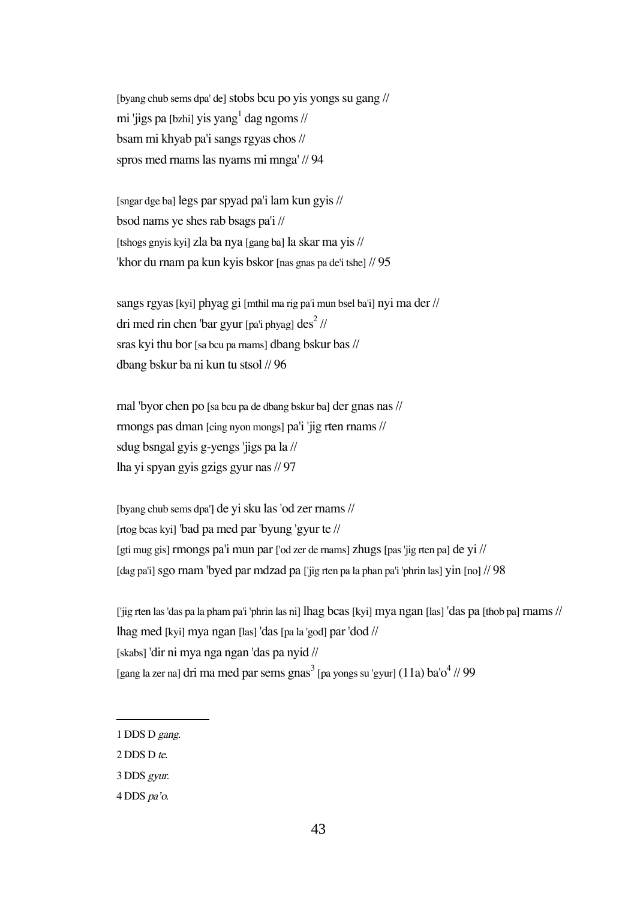[byang chub sems dpa' de] stobs bcu po yis yongs su gang // mi 'jigs pa [bzhi] yis yang<sup>1</sup> dag ngoms // bsam mi khyab pa'i sangs rgyas chos // spros med rnams las nyams mi mnga' // 94

[sngar dge ba] legs par spyad pa'i lam kun gyis // bsod nams ye shes rab bsags pa'i // [tshogs gnyis kyi] zla ba nya [gang ba] la skar ma yis // 'khor du rnam pa kun kyis bskor [nas gnas pa de'i tshe] // 95

sangs rgyas [kyi] phyag gi [mthil ma rig pa'i mun bsel ba'i] nyi ma der // dri med rin chen 'bar gyur [pa'i phyag] des $^2$  // sras kyi thu bor [sa bcu pa rnams] dbang bskur bas // dbang bskur ba ni kun tu stsol // 96

rnal 'byor chen po [sa bcu pa de dbang bskur ba] der gnas nas // rmongs pas dman [cing nyon mongs] pa'i 'jig rten rnams // sdug bsngal gyis g-yengs 'jigs pa la // lha yi spyan gyis gzigs gyur nas // 97

[byang chub sems dpa'] de yi sku las 'od zer rnams // [rtog bcas kyi] 'bad pa med par 'byung 'gyur te // [gti mug gis] rmongs pa'i mun par ['od zer de rnams] zhugs[pas 'jig rten pa] de yi // [dag pa'i] sgo rnam 'byed par mdzad pa ['jig rten pa la phan pa'i 'phrin las] yin [no] // 98

['jig rten las 'das pa la pham pa'i 'phrin las ni] lhag bcas[kyi] mya ngan [las] 'das pa [thob pa] rnams // lhag med [kyi] mya ngan [las] 'das[pa la 'god] par 'dod // [skabs] 'dir ni mya nga ngan 'das pa nyid // [gang la zer na] dri ma med par sems gnas $^3$  [pa yongs su 'gyur] (11a) ba'o $^4$  // 99

<sup>1</sup> DDS D gang.

<sup>2</sup> DDS D te.

<sup>3</sup> DDS gyur.

<sup>4</sup> DDS pa'o.